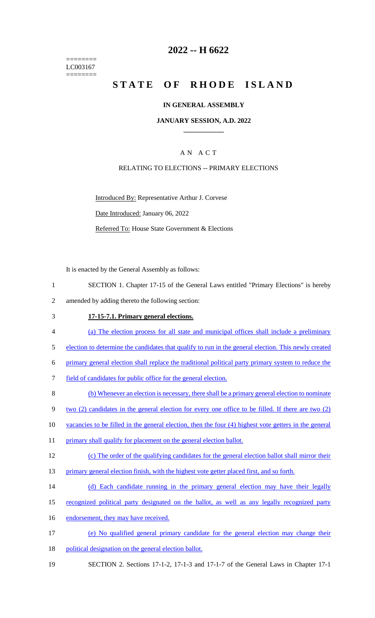======== LC003167 ========

# **2022 -- H 6622**

# **STATE OF RHODE ISLAND**

#### **IN GENERAL ASSEMBLY**

#### **JANUARY SESSION, A.D. 2022 \_\_\_\_\_\_\_\_\_\_\_\_**

## A N A C T

#### RELATING TO ELECTIONS -- PRIMARY ELECTIONS

Introduced By: Representative Arthur J. Corvese Date Introduced: January 06, 2022 Referred To: House State Government & Elections

It is enacted by the General Assembly as follows:

- 1 SECTION 1. Chapter 17-15 of the General Laws entitled "Primary Elections" is hereby 2 amended by adding thereto the following section:
- 3 **17-15-7.1. Primary general elections.**
- 4 (a) The election process for all state and municipal offices shall include a preliminary
- 5 election to determine the candidates that qualify to run in the general election. This newly created

6 primary general election shall replace the traditional political party primary system to reduce the

- 7 field of candidates for public office for the general election.
- 8 (b) Whenever an election is necessary, there shall be a primary general election to nominate
- 9 two (2) candidates in the general election for every one office to be filled. If there are two (2)
- 10 vacancies to be filled in the general election, then the four (4) highest vote getters in the general
- 11 primary shall qualify for placement on the general election ballot.
- 12 (c) The order of the qualifying candidates for the general election ballot shall mirror their
- 13 primary general election finish, with the highest vote getter placed first, and so forth.
- 14 (d) Each candidate running in the primary general election may have their legally
- 15 recognized political party designated on the ballot, as well as any legally recognized party
- 16 endorsement, they may have received.
- 17 (e) No qualified general primary candidate for the general election may change their
- 18 political designation on the general election ballot.
- 19 SECTION 2. Sections 17-1-2, 17-1-3 and 17-1-7 of the General Laws in Chapter 17-1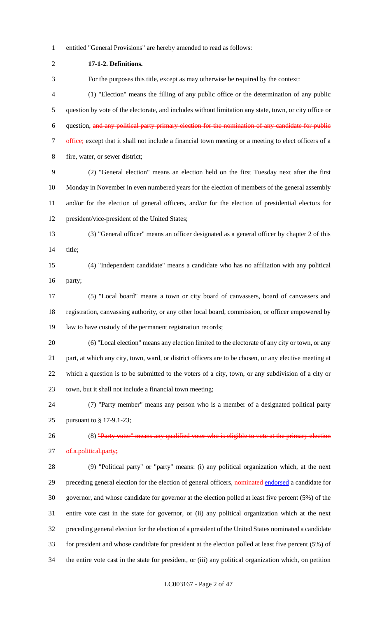entitled "General Provisions" are hereby amended to read as follows:

 **17-1-2. Definitions.** For the purposes this title, except as may otherwise be required by the context: (1) "Election" means the filling of any public office or the determination of any public question by vote of the electorate, and includes without limitation any state, town, or city office or question, and any political party primary election for the nomination of any candidate for public 7 office; except that it shall not include a financial town meeting or a meeting to elect officers of a fire, water, or sewer district; (2) "General election" means an election held on the first Tuesday next after the first Monday in November in even numbered years for the election of members of the general assembly and/or for the election of general officers, and/or for the election of presidential electors for president/vice-president of the United States; (3) "General officer" means an officer designated as a general officer by chapter 2 of this title; (4) "Independent candidate" means a candidate who has no affiliation with any political party; (5) "Local board" means a town or city board of canvassers, board of canvassers and registration, canvassing authority, or any other local board, commission, or officer empowered by law to have custody of the permanent registration records; (6) "Local election" means any election limited to the electorate of any city or town, or any part, at which any city, town, ward, or district officers are to be chosen, or any elective meeting at which a question is to be submitted to the voters of a city, town, or any subdivision of a city or town, but it shall not include a financial town meeting; (7) "Party member" means any person who is a member of a designated political party pursuant to § 17-9.1-23; 26 (8) "Party voter" means any qualified voter who is eligible to vote at the primary election 27 of a political party; (9) "Political party" or "party" means: (i) any political organization which, at the next 29 preceding general election for the election of general officers, nominated endorsed a candidate for governor, and whose candidate for governor at the election polled at least five percent (5%) of the entire vote cast in the state for governor, or (ii) any political organization which at the next preceding general election for the election of a president of the United States nominated a candidate for president and whose candidate for president at the election polled at least five percent (5%) of the entire vote cast in the state for president, or (iii) any political organization which, on petition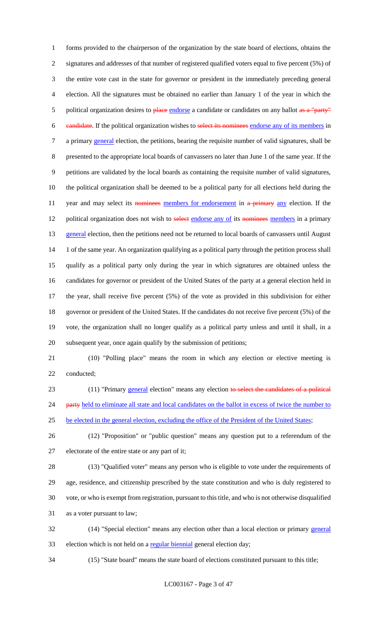forms provided to the chairperson of the organization by the state board of elections, obtains the signatures and addresses of that number of registered qualified voters equal to five percent (5%) of the entire vote cast in the state for governor or president in the immediately preceding general election. All the signatures must be obtained no earlier than January 1 of the year in which the 5 political organization desires to place endorse a candidate or candidates on any ballot as a "party" candidate. If the political organization wishes to select its nominees endorse any of its members in 7 a primary general election, the petitions, bearing the requisite number of valid signatures, shall be presented to the appropriate local boards of canvassers no later than June 1 of the same year. If the petitions are validated by the local boards as containing the requisite number of valid signatures, the political organization shall be deemed to be a political party for all elections held during the 11 year and may select its nominees members for endorsement in a primary any election. If the 12 political organization does not wish to select endorse any of its nominees members in a primary 13 general election, then the petitions need not be returned to local boards of canvassers until August 14 1 of the same year. An organization qualifying as a political party through the petition process shall qualify as a political party only during the year in which signatures are obtained unless the candidates for governor or president of the United States of the party at a general election held in the year, shall receive five percent (5%) of the vote as provided in this subdivision for either governor or president of the United States. If the candidates do not receive five percent (5%) of the vote, the organization shall no longer qualify as a political party unless and until it shall, in a subsequent year, once again qualify by the submission of petitions;

 (10) "Polling place" means the room in which any election or elective meeting is conducted;

23 (11) "Primary general election" means any election to select the candidates of a political 24 party held to eliminate all state and local candidates on the ballot in excess of twice the number to 25 be elected in the general election, excluding the office of the President of the United States;

 (12) "Proposition" or "public question" means any question put to a referendum of the electorate of the entire state or any part of it;

 (13) "Qualified voter" means any person who is eligible to vote under the requirements of age, residence, and citizenship prescribed by the state constitution and who is duly registered to vote, or who is exempt from registration, pursuant to this title, and who is not otherwise disqualified as a voter pursuant to law;

 (14) "Special election" means any election other than a local election or primary general 33 election which is not held on a regular biennial general election day;

(15) "State board" means the state board of elections constituted pursuant to this title;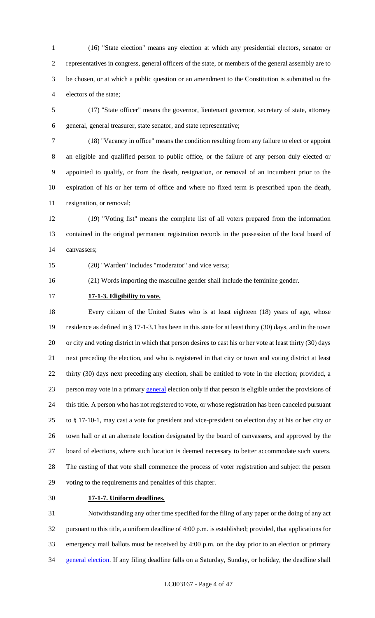(16) "State election" means any election at which any presidential electors, senator or representatives in congress, general officers of the state, or members of the general assembly are to be chosen, or at which a public question or an amendment to the Constitution is submitted to the electors of the state;

 (17) "State officer" means the governor, lieutenant governor, secretary of state, attorney general, general treasurer, state senator, and state representative;

 (18) "Vacancy in office" means the condition resulting from any failure to elect or appoint an eligible and qualified person to public office, or the failure of any person duly elected or appointed to qualify, or from the death, resignation, or removal of an incumbent prior to the expiration of his or her term of office and where no fixed term is prescribed upon the death, resignation, or removal;

 (19) "Voting list" means the complete list of all voters prepared from the information contained in the original permanent registration records in the possession of the local board of canvassers;

(20) "Warden" includes "moderator" and vice versa;

(21) Words importing the masculine gender shall include the feminine gender.

**17-1-3. Eligibility to vote.**

 Every citizen of the United States who is at least eighteen (18) years of age, whose residence as defined in § 17-1-3.1 has been in this state for at least thirty (30) days, and in the town or city and voting district in which that person desires to cast his or her vote at least thirty (30) days next preceding the election, and who is registered in that city or town and voting district at least thirty (30) days next preceding any election, shall be entitled to vote in the election; provided, a person may vote in a primary general election only if that person is eligible under the provisions of this title. A person who has not registered to vote, or whose registration has been canceled pursuant to § 17-10-1, may cast a vote for president and vice-president on election day at his or her city or town hall or at an alternate location designated by the board of canvassers, and approved by the board of elections, where such location is deemed necessary to better accommodate such voters. The casting of that vote shall commence the process of voter registration and subject the person voting to the requirements and penalties of this chapter.

## **17-1-7. Uniform deadlines.**

 Notwithstanding any other time specified for the filing of any paper or the doing of any act pursuant to this title, a uniform deadline of 4:00 p.m. is established; provided, that applications for emergency mail ballots must be received by 4:00 p.m. on the day prior to an election or primary 34 general election. If any filing deadline falls on a Saturday, Sunday, or holiday, the deadline shall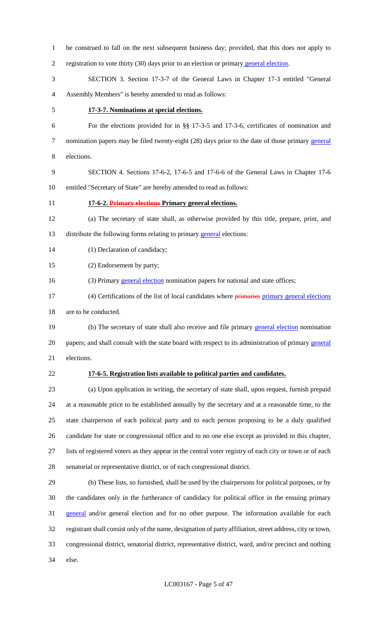| $\mathbf{1}$ | be construed to fall on the next subsequent business day; provided, that this does not apply to            |
|--------------|------------------------------------------------------------------------------------------------------------|
| 2            | registration to vote thirty (30) days prior to an election or primary general election.                    |
| 3            | SECTION 3. Section 17-3-7 of the General Laws in Chapter 17-3 entitled "General                            |
| 4            | Assembly Members" is hereby amended to read as follows:                                                    |
| 5            | 17-3-7. Nominations at special elections.                                                                  |
| 6            | For the elections provided for in §§ 17-3-5 and 17-3-6, certificates of nomination and                     |
| 7            | nomination papers may be filed twenty-eight (28) days prior to the date of those primary general           |
| 8            | elections.                                                                                                 |
| 9            | SECTION 4. Sections 17-6-2, 17-6-5 and 17-6-6 of the General Laws in Chapter 17-6                          |
| 10           | entitled "Secretary of State" are hereby amended to read as follows:                                       |
| 11           | 17-6-2. Primary elections Primary general elections.                                                       |
| 12           | (a) The secretary of state shall, as otherwise provided by this title, prepare, print, and                 |
| 13           | distribute the following forms relating to primary general elections:                                      |
| 14           | (1) Declaration of candidacy;                                                                              |
| 15           | (2) Endorsement by party;                                                                                  |
| 16           | (3) Primary general election nomination papers for national and state offices;                             |
| 17           | (4) Certifications of the list of local candidates where <i>primaries</i> primary general elections        |
| 18           | are to be conducted.                                                                                       |
| 19           | (b) The secretary of state shall also receive and file primary general election nomination                 |
| 20           | papers; and shall consult with the state board with respect to its administration of primary general       |
| 21           | elections.                                                                                                 |
| 22           | 17-6-5. Registration lists available to political parties and candidates.                                  |
| 23           | (a) Upon application in writing, the secretary of state shall, upon request, furnish prepaid               |
| 24           | at a reasonable price to be established annually by the secretary and at a reasonable time, to the         |
| 25           | state chairperson of each political party and to each person proposing to be a duly qualified              |
| 26           | candidate for state or congressional office and to no one else except as provided in this chapter,         |
| 27           | lists of registered voters as they appear in the central voter registry of each city or town or of each    |
| 28           | senatorial or representative district, or of each congressional district.                                  |
| 29           | (b) These lists, so furnished, shall be used by the chairpersons for political purposes, or by             |
| 30           | the candidates only in the furtherance of candidacy for political office in the ensuing primary            |
| 31           | general and/or general election and for no other purpose. The information available for each               |
| 32           | registrant shall consist only of the name, designation of party affiliation, street address, city or town, |
| 33           | congressional district, senatorial district, representative district, ward, and/or precinct and nothing    |
| 34           | else.                                                                                                      |

# LC003167 - Page 5 of 47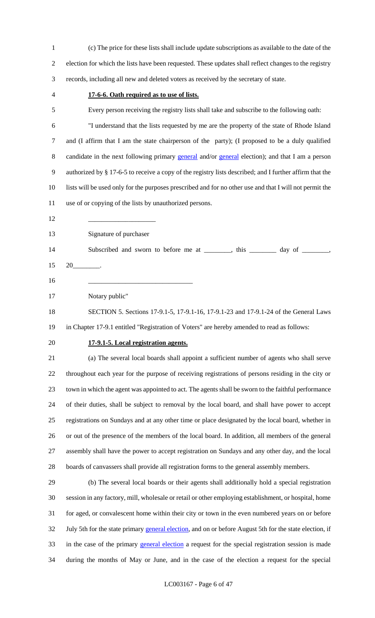| $\mathbf{1}$   | (c) The price for these lists shall include update subscriptions as available to the date of the        |
|----------------|---------------------------------------------------------------------------------------------------------|
| $\overline{2}$ | election for which the lists have been requested. These updates shall reflect changes to the registry   |
| 3              | records, including all new and deleted voters as received by the secretary of state.                    |
| 4              | 17-6-6. Oath required as to use of lists.                                                               |
| 5              | Every person receiving the registry lists shall take and subscribe to the following oath:               |
| 6              | "I understand that the lists requested by me are the property of the state of Rhode Island              |
| $\tau$         | and (I affirm that I am the state chairperson of the party); (I proposed to be a duly qualified         |
| $8\,$          | candidate in the next following primary general and/or general election); and that I am a person        |
| 9              | authorized by § 17-6-5 to receive a copy of the registry lists described; and I further affirm that the |
| 10             | lists will be used only for the purposes prescribed and for no other use and that I will not permit the |
| 11             | use of or copying of the lists by unauthorized persons.                                                 |
| 12             |                                                                                                         |
| 13             | Signature of purchaser                                                                                  |
| 14             | Subscribed and sworn to before me at _______, this ______ day of ______,                                |
| 15             | $20$ $\qquad$                                                                                           |
| 16             |                                                                                                         |
| 17             | Notary public"                                                                                          |
| 18             | SECTION 5. Sections 17-9.1-5, 17-9.1-16, 17-9.1-23 and 17-9.1-24 of the General Laws                    |
| 19             | in Chapter 17-9.1 entitled "Registration of Voters" are hereby amended to read as follows:              |
| 20             | 17-9.1-5. Local registration agents.                                                                    |
| 21             | (a) The several local boards shall appoint a sufficient number of agents who shall serve                |
| 22             | throughout each year for the purpose of receiving registrations of persons residing in the city or      |
| 23             | town in which the agent was appointed to act. The agents shall be sworn to the faithful performance     |
| 24             | of their duties, shall be subject to removal by the local board, and shall have power to accept         |
| 25             | registrations on Sundays and at any other time or place designated by the local board, whether in       |
| 26             | or out of the presence of the members of the local board. In addition, all members of the general       |
| 27             | assembly shall have the power to accept registration on Sundays and any other day, and the local        |
| 28             | boards of canvassers shall provide all registration forms to the general assembly members.              |
| 29             | (b) The several local boards or their agents shall additionally hold a special registration             |
| 30             | session in any factory, mill, wholesale or retail or other employing establishment, or hospital, home   |
| 31             | for aged, or convalescent home within their city or town in the even numbered years on or before        |
| 32             | July 5th for the state primary general election, and on or before August 5th for the state election, if |
| 33             | in the case of the primary general election a request for the special registration session is made      |
| 34             | during the months of May or June, and in the case of the election a request for the special             |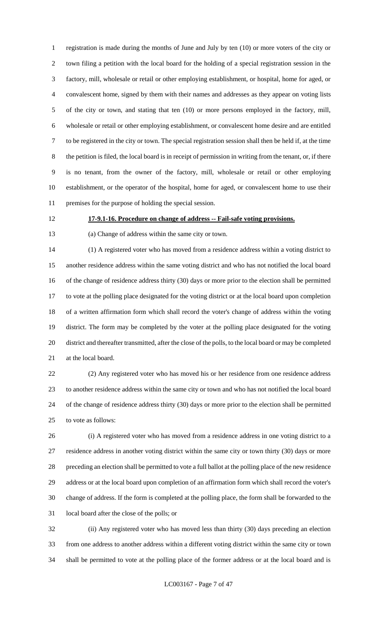registration is made during the months of June and July by ten (10) or more voters of the city or town filing a petition with the local board for the holding of a special registration session in the factory, mill, wholesale or retail or other employing establishment, or hospital, home for aged, or convalescent home, signed by them with their names and addresses as they appear on voting lists of the city or town, and stating that ten (10) or more persons employed in the factory, mill, wholesale or retail or other employing establishment, or convalescent home desire and are entitled to be registered in the city or town. The special registration session shall then be held if, at the time the petition is filed, the local board is in receipt of permission in writing from the tenant, or, if there is no tenant, from the owner of the factory, mill, wholesale or retail or other employing establishment, or the operator of the hospital, home for aged, or convalescent home to use their premises for the purpose of holding the special session.

# **17-9.1-16. Procedure on change of address -- Fail-safe voting provisions.**

(a) Change of address within the same city or town.

 (1) A registered voter who has moved from a residence address within a voting district to another residence address within the same voting district and who has not notified the local board of the change of residence address thirty (30) days or more prior to the election shall be permitted to vote at the polling place designated for the voting district or at the local board upon completion of a written affirmation form which shall record the voter's change of address within the voting district. The form may be completed by the voter at the polling place designated for the voting district and thereafter transmitted, after the close of the polls, to the local board or may be completed at the local board.

 (2) Any registered voter who has moved his or her residence from one residence address to another residence address within the same city or town and who has not notified the local board of the change of residence address thirty (30) days or more prior to the election shall be permitted to vote as follows:

 (i) A registered voter who has moved from a residence address in one voting district to a residence address in another voting district within the same city or town thirty (30) days or more preceding an election shall be permitted to vote a full ballot at the polling place of the new residence address or at the local board upon completion of an affirmation form which shall record the voter's change of address. If the form is completed at the polling place, the form shall be forwarded to the local board after the close of the polls; or

 (ii) Any registered voter who has moved less than thirty (30) days preceding an election from one address to another address within a different voting district within the same city or town shall be permitted to vote at the polling place of the former address or at the local board and is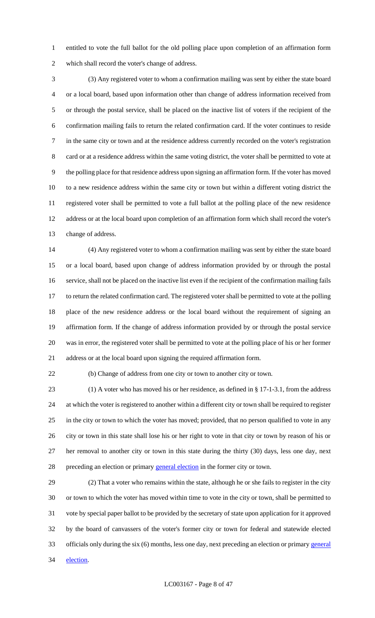entitled to vote the full ballot for the old polling place upon completion of an affirmation form which shall record the voter's change of address.

 (3) Any registered voter to whom a confirmation mailing was sent by either the state board or a local board, based upon information other than change of address information received from or through the postal service, shall be placed on the inactive list of voters if the recipient of the confirmation mailing fails to return the related confirmation card. If the voter continues to reside in the same city or town and at the residence address currently recorded on the voter's registration card or at a residence address within the same voting district, the voter shall be permitted to vote at the polling place for that residence address upon signing an affirmation form. If the voter has moved to a new residence address within the same city or town but within a different voting district the registered voter shall be permitted to vote a full ballot at the polling place of the new residence address or at the local board upon completion of an affirmation form which shall record the voter's change of address.

 (4) Any registered voter to whom a confirmation mailing was sent by either the state board or a local board, based upon change of address information provided by or through the postal service, shall not be placed on the inactive list even if the recipient of the confirmation mailing fails to return the related confirmation card. The registered voter shall be permitted to vote at the polling place of the new residence address or the local board without the requirement of signing an affirmation form. If the change of address information provided by or through the postal service was in error, the registered voter shall be permitted to vote at the polling place of his or her former address or at the local board upon signing the required affirmation form.

(b) Change of address from one city or town to another city or town.

 (1) A voter who has moved his or her residence, as defined in § 17-1-3.1, from the address at which the voter is registered to another within a different city or town shall be required to register in the city or town to which the voter has moved; provided, that no person qualified to vote in any city or town in this state shall lose his or her right to vote in that city or town by reason of his or her removal to another city or town in this state during the thirty (30) days, less one day, next 28 preceding an election or primary general election in the former city or town.

 (2) That a voter who remains within the state, although he or she fails to register in the city or town to which the voter has moved within time to vote in the city or town, shall be permitted to vote by special paper ballot to be provided by the secretary of state upon application for it approved by the board of canvassers of the voter's former city or town for federal and statewide elected officials only during the six (6) months, less one day, next preceding an election or primary general 34 election.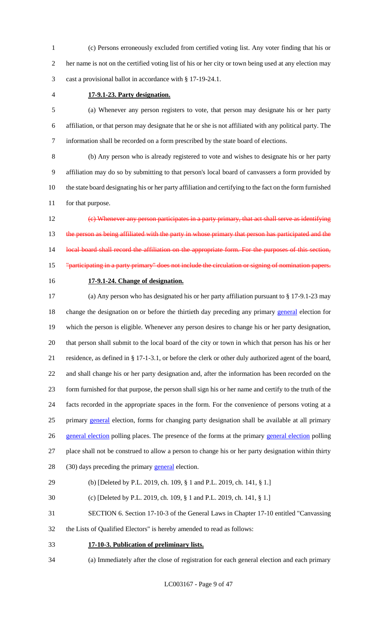(c) Persons erroneously excluded from certified voting list. Any voter finding that his or her name is not on the certified voting list of his or her city or town being used at any election may cast a provisional ballot in accordance with § 17-19-24.1.

# **17-9.1-23. Party designation.**

 (a) Whenever any person registers to vote, that person may designate his or her party affiliation, or that person may designate that he or she is not affiliated with any political party. The information shall be recorded on a form prescribed by the state board of elections.

 (b) Any person who is already registered to vote and wishes to designate his or her party affiliation may do so by submitting to that person's local board of canvassers a form provided by the state board designating his or her party affiliation and certifying to the fact on the form furnished for that purpose.

 (c) Whenever any person participates in a party primary, that act shall serve as identifying 13 the person as being affiliated with the party in whose primary that person has participated and the 14 local board shall record the affiliation on the appropriate form. For the purposes of this section, "participating in a party primary" does not include the circulation or signing of nomination papers.

### **17-9.1-24. Change of designation.**

 (a) Any person who has designated his or her party affiliation pursuant to § 17-9.1-23 may 18 change the designation on or before the thirtieth day preceding any primary general election for which the person is eligible. Whenever any person desires to change his or her party designation, that person shall submit to the local board of the city or town in which that person has his or her residence, as defined in § 17-1-3.1, or before the clerk or other duly authorized agent of the board, and shall change his or her party designation and, after the information has been recorded on the form furnished for that purpose, the person shall sign his or her name and certify to the truth of the facts recorded in the appropriate spaces in the form. For the convenience of persons voting at a 25 primary general election, forms for changing party designation shall be available at all primary 26 general election polling places. The presence of the forms at the primary general election polling place shall not be construed to allow a person to change his or her party designation within thirty 28 (30) days preceding the primary general election.

#### (b) [Deleted by P.L. 2019, ch. 109, § 1 and P.L. 2019, ch. 141, § 1.]

(c) [Deleted by P.L. 2019, ch. 109, § 1 and P.L. 2019, ch. 141, § 1.]

SECTION 6. Section 17-10-3 of the General Laws in Chapter 17-10 entitled "Canvassing

- the Lists of Qualified Electors" is hereby amended to read as follows:
- **17-10-3. Publication of preliminary lists.**
- (a) Immediately after the close of registration for each general election and each primary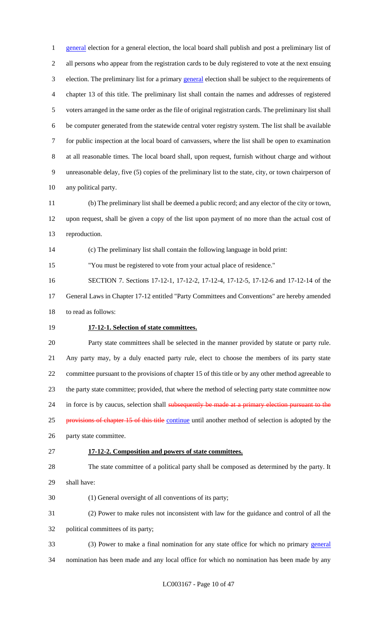1 general election for a general election, the local board shall publish and post a preliminary list of all persons who appear from the registration cards to be duly registered to vote at the next ensuing election. The preliminary list for a primary general election shall be subject to the requirements of chapter 13 of this title. The preliminary list shall contain the names and addresses of registered voters arranged in the same order as the file of original registration cards. The preliminary list shall be computer generated from the statewide central voter registry system. The list shall be available for public inspection at the local board of canvassers, where the list shall be open to examination at all reasonable times. The local board shall, upon request, furnish without charge and without unreasonable delay, five (5) copies of the preliminary list to the state, city, or town chairperson of any political party.

 (b) The preliminary list shall be deemed a public record; and any elector of the city or town, upon request, shall be given a copy of the list upon payment of no more than the actual cost of reproduction.

(c) The preliminary list shall contain the following language in bold print:

"You must be registered to vote from your actual place of residence."

 SECTION 7. Sections 17-12-1, 17-12-2, 17-12-4, 17-12-5, 17-12-6 and 17-12-14 of the General Laws in Chapter 17-12 entitled "Party Committees and Conventions" are hereby amended to read as follows:

# **17-12-1. Selection of state committees.**

 Party state committees shall be selected in the manner provided by statute or party rule. Any party may, by a duly enacted party rule, elect to choose the members of its party state committee pursuant to the provisions of chapter 15 of this title or by any other method agreeable to the party state committee; provided, that where the method of selecting party state committee now 24 in force is by caucus, selection shall subsequently be made at a primary election pursuant to the 25 provisions of chapter 15 of this title continue until another method of selection is adopted by the party state committee.

# **17-12-2. Composition and powers of state committees.**

 The state committee of a political party shall be composed as determined by the party. It shall have:

(1) General oversight of all conventions of its party;

 (2) Power to make rules not inconsistent with law for the guidance and control of all the political committees of its party;

- (3) Power to make a final nomination for any state office for which no primary general
- nomination has been made and any local office for which no nomination has been made by any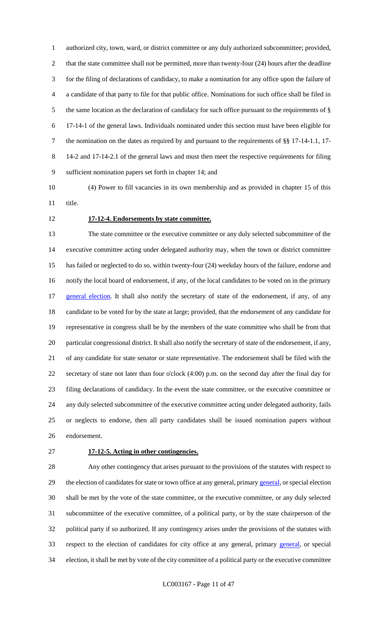authorized city, town, ward, or district committee or any duly authorized subcommittee; provided, that the state committee shall not be permitted, more than twenty-four (24) hours after the deadline for the filing of declarations of candidacy, to make a nomination for any office upon the failure of a candidate of that party to file for that public office. Nominations for such office shall be filed in the same location as the declaration of candidacy for such office pursuant to the requirements of § 17-14-1 of the general laws. Individuals nominated under this section must have been eligible for the nomination on the dates as required by and pursuant to the requirements of §§ 17-14-1.1, 17- 14-2 and 17-14-2.1 of the general laws and must then meet the respective requirements for filing sufficient nomination papers set forth in chapter 14; and

 (4) Power to fill vacancies in its own membership and as provided in chapter 15 of this title.

#### **17-12-4. Endorsements by state committee.**

 The state committee or the executive committee or any duly selected subcommittee of the executive committee acting under delegated authority may, when the town or district committee has failed or neglected to do so, within twenty-four (24) weekday hours of the failure, endorse and notify the local board of endorsement, if any, of the local candidates to be voted on in the primary 17 general election. It shall also notify the secretary of state of the endorsement, if any, of any candidate to be voted for by the state at large; provided, that the endorsement of any candidate for representative in congress shall be by the members of the state committee who shall be from that particular congressional district. It shall also notify the secretary of state of the endorsement, if any, of any candidate for state senator or state representative. The endorsement shall be filed with the secretary of state not later than four o'clock (4:00) p.m. on the second day after the final day for filing declarations of candidacy. In the event the state committee, or the executive committee or any duly selected subcommittee of the executive committee acting under delegated authority, fails or neglects to endorse, then all party candidates shall be issued nomination papers without endorsement.

#### **17-12-5. Acting in other contingencies.**

 Any other contingency that arises pursuant to the provisions of the statutes with respect to 29 the election of candidates for state or town office at any general, primary general, or special election shall be met by the vote of the state committee, or the executive committee, or any duly selected subcommittee of the executive committee, of a political party, or by the state chairperson of the political party if so authorized. If any contingency arises under the provisions of the statutes with respect to the election of candidates for city office at any general, primary general, or special election, it shall be met by vote of the city committee of a political party or the executive committee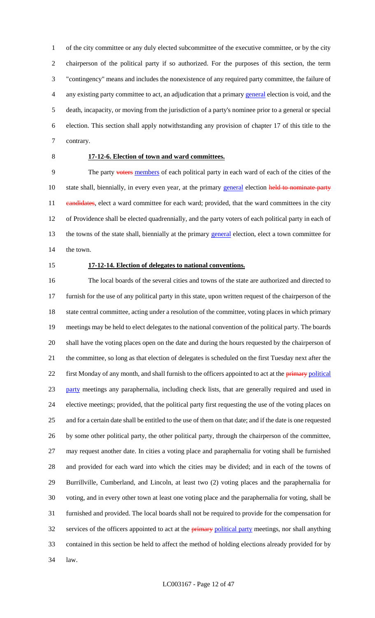of the city committee or any duly elected subcommittee of the executive committee, or by the city chairperson of the political party if so authorized. For the purposes of this section, the term "contingency" means and includes the nonexistence of any required party committee, the failure of any existing party committee to act, an adjudication that a primary general election is void, and the death, incapacity, or moving from the jurisdiction of a party's nominee prior to a general or special election. This section shall apply notwithstanding any provision of chapter 17 of this title to the contrary.

# **17-12-6. Election of town and ward committees.**

9 The party voters members of each political party in each ward of each of the cities of the 10 state shall, biennially, in every even year, at the primary general election held to nominate party 11 eandidates, elect a ward committee for each ward; provided, that the ward committees in the city of Providence shall be elected quadrennially, and the party voters of each political party in each of 13 the towns of the state shall, biennially at the primary general election, elect a town committee for the town.

#### **17-12-14. Election of delegates to national conventions.**

 The local boards of the several cities and towns of the state are authorized and directed to furnish for the use of any political party in this state, upon written request of the chairperson of the 18 state central committee, acting under a resolution of the committee, voting places in which primary meetings may be held to elect delegates to the national convention of the political party. The boards shall have the voting places open on the date and during the hours requested by the chairperson of the committee, so long as that election of delegates is scheduled on the first Tuesday next after the 22 first Monday of any month, and shall furnish to the officers appointed to act at the *primary political*  party meetings any paraphernalia, including check lists, that are generally required and used in elective meetings; provided, that the political party first requesting the use of the voting places on and for a certain date shall be entitled to the use of them on that date; and if the date is one requested by some other political party, the other political party, through the chairperson of the committee, may request another date. In cities a voting place and paraphernalia for voting shall be furnished and provided for each ward into which the cities may be divided; and in each of the towns of Burrillville, Cumberland, and Lincoln, at least two (2) voting places and the paraphernalia for voting, and in every other town at least one voting place and the paraphernalia for voting, shall be furnished and provided. The local boards shall not be required to provide for the compensation for 32 services of the officers appointed to act at the **primary political party** meetings, nor shall anything contained in this section be held to affect the method of holding elections already provided for by law.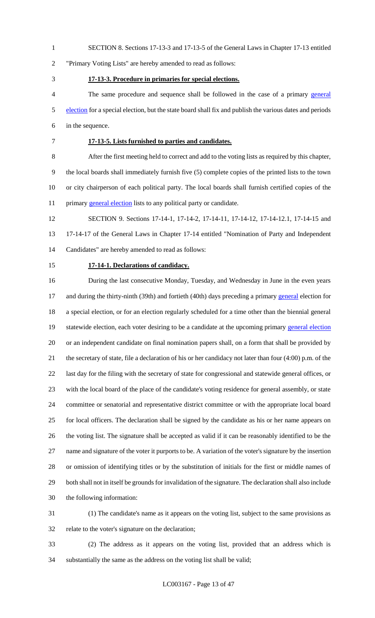SECTION 8. Sections 17-13-3 and 17-13-5 of the General Laws in Chapter 17-13 entitled

"Primary Voting Lists" are hereby amended to read as follows:

#### **17-13-3. Procedure in primaries for special elections.**

 The same procedure and sequence shall be followed in the case of a primary general 5 election for a special election, but the state board shall fix and publish the various dates and periods in the sequence.

#### **17-13-5. Lists furnished to parties and candidates.**

 After the first meeting held to correct and add to the voting lists as required by this chapter, the local boards shall immediately furnish five (5) complete copies of the printed lists to the town or city chairperson of each political party. The local boards shall furnish certified copies of the 11 primary **general election** lists to any political party or candidate.

 SECTION 9. Sections 17-14-1, 17-14-2, 17-14-11, 17-14-12, 17-14-12.1, 17-14-15 and 17-14-17 of the General Laws in Chapter 17-14 entitled "Nomination of Party and Independent Candidates" are hereby amended to read as follows:

#### **17-14-1. Declarations of candidacy.**

 During the last consecutive Monday, Tuesday, and Wednesday in June in the even years 17 and during the thirty-ninth (39th) and fortieth (40th) days preceding a primary general election for a special election, or for an election regularly scheduled for a time other than the biennial general 19 statewide election, each voter desiring to be a candidate at the upcoming primary general election or an independent candidate on final nomination papers shall, on a form that shall be provided by the secretary of state, file a declaration of his or her candidacy not later than four (4:00) p.m. of the last day for the filing with the secretary of state for congressional and statewide general offices, or with the local board of the place of the candidate's voting residence for general assembly, or state committee or senatorial and representative district committee or with the appropriate local board for local officers. The declaration shall be signed by the candidate as his or her name appears on the voting list. The signature shall be accepted as valid if it can be reasonably identified to be the name and signature of the voter it purports to be. A variation of the voter's signature by the insertion or omission of identifying titles or by the substitution of initials for the first or middle names of both shall not in itself be grounds for invalidation of the signature. The declaration shall also include the following information:

 (1) The candidate's name as it appears on the voting list, subject to the same provisions as relate to the voter's signature on the declaration;

 (2) The address as it appears on the voting list, provided that an address which is substantially the same as the address on the voting list shall be valid;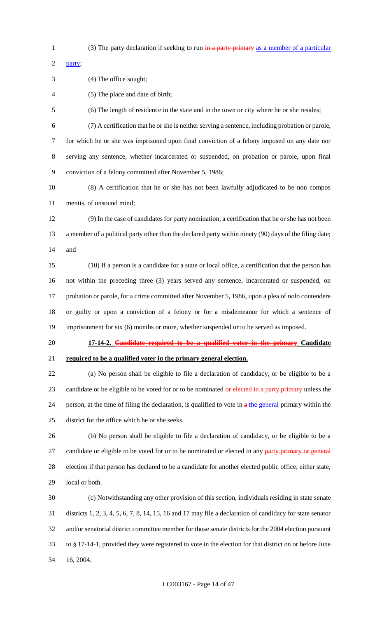1 (3) The party declaration if seeking to run in a party primary as a member of a particular

party;

(4) The office sought;

(5) The place and date of birth;

(6) The length of residence in the state and in the town or city where he or she resides;

 (7) A certification that he or she is neither serving a sentence, including probation or parole, for which he or she was imprisoned upon final conviction of a felony imposed on any date nor serving any sentence, whether incarcerated or suspended, on probation or parole, upon final conviction of a felony committed after November 5, 1986;

 (8) A certification that he or she has not been lawfully adjudicated to be non compos mentis, of unsound mind;

 (9) In the case of candidates for party nomination, a certification that he or she has not been a member of a political party other than the declared party within ninety (90) days of the filing date; and

 (10) If a person is a candidate for a state or local office, a certification that the person has not within the preceding three (3) years served any sentence, incarcerated or suspended, on probation or parole, for a crime committed after November 5, 1986, upon a plea of nolo contendere or guilty or upon a conviction of a felony or for a misdemeanor for which a sentence of imprisonment for six (6) months or more, whether suspended or to be served as imposed.

**17-14-2. Candidate required to be a qualified voter in the primary Candidate** 

**required to be a qualified voter in the primary general election.**

 (a) No person shall be eligible to file a declaration of candidacy, or be eligible to be a 23 candidate or be eligible to be voted for or to be nominated or elected in a party primary unless the 24 person, at the time of filing the declaration, is qualified to vote in  $a$  the general primary within the district for the office which he or she seeks.

 (b) No person shall be eligible to file a declaration of candidacy, or be eligible to be a 27 candidate or eligible to be voted for or to be nominated or elected in any party primary or general election if that person has declared to be a candidate for another elected public office, either state, local or both.

 (c) Notwithstanding any other provision of this section, individuals residing in state senate districts 1, 2, 3, 4, 5, 6, 7, 8, 14, 15, 16 and 17 may file a declaration of candidacy for state senator and/or senatorial district committee member for those senate districts for the 2004 election pursuant to § 17-14-1, provided they were registered to vote in the election for that district on or before June 16, 2004.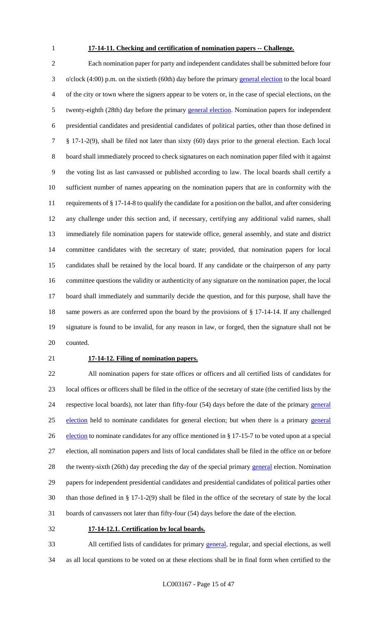#### **17-14-11. Checking and certification of nomination papers -- Challenge.**

 Each nomination paper for party and independent candidates shall be submitted before four o'clock (4:00) p.m. on the sixtieth (60th) day before the primary general election to the local board of the city or town where the signers appear to be voters or, in the case of special elections, on the twenty-eighth (28th) day before the primary general election. Nomination papers for independent presidential candidates and presidential candidates of political parties, other than those defined in § 17-1-2(9), shall be filed not later than sixty (60) days prior to the general election. Each local board shall immediately proceed to check signatures on each nomination paper filed with it against the voting list as last canvassed or published according to law. The local boards shall certify a sufficient number of names appearing on the nomination papers that are in conformity with the requirements of § 17-14-8 to qualify the candidate for a position on the ballot, and after considering any challenge under this section and, if necessary, certifying any additional valid names, shall immediately file nomination papers for statewide office, general assembly, and state and district committee candidates with the secretary of state; provided, that nomination papers for local candidates shall be retained by the local board. If any candidate or the chairperson of any party committee questions the validity or authenticity of any signature on the nomination paper, the local board shall immediately and summarily decide the question, and for this purpose, shall have the same powers as are conferred upon the board by the provisions of § 17-14-14. If any challenged signature is found to be invalid, for any reason in law, or forged, then the signature shall not be counted.

#### **17-14-12. Filing of nomination papers.**

 All nomination papers for state offices or officers and all certified lists of candidates for local offices or officers shall be filed in the office of the secretary of state (the certified lists by the 24 respective local boards), not later than fifty-four (54) days before the date of the primary general election held to nominate candidates for general election; but when there is a primary general 26 election to nominate candidates for any office mentioned in § 17-15-7 to be voted upon at a special election, all nomination papers and lists of local candidates shall be filed in the office on or before 28 the twenty-sixth (26th) day preceding the day of the special primary general election. Nomination papers for independent presidential candidates and presidential candidates of political parties other than those defined in § 17-1-2(9) shall be filed in the office of the secretary of state by the local boards of canvassers not later than fifty-four (54) days before the date of the election.

**17-14-12.1. Certification by local boards.**

 All certified lists of candidates for primary general, regular, and special elections, as well as all local questions to be voted on at these elections shall be in final form when certified to the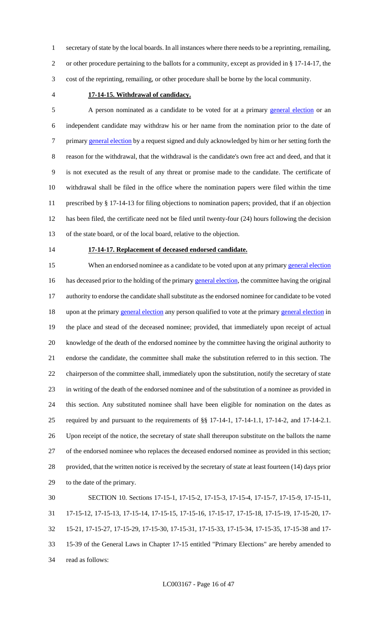secretary of state by the local boards. In all instances where there needs to be a reprinting, remailing, or other procedure pertaining to the ballots for a community, except as provided in § 17-14-17, the cost of the reprinting, remailing, or other procedure shall be borne by the local community.

#### **17-14-15. Withdrawal of candidacy.**

5 A person nominated as a candidate to be voted for at a primary general election or an independent candidate may withdraw his or her name from the nomination prior to the date of 7 primary general election by a request signed and duly acknowledged by him or her setting forth the reason for the withdrawal, that the withdrawal is the candidate's own free act and deed, and that it is not executed as the result of any threat or promise made to the candidate. The certificate of withdrawal shall be filed in the office where the nomination papers were filed within the time prescribed by § 17-14-13 for filing objections to nomination papers; provided, that if an objection has been filed, the certificate need not be filed until twenty-four (24) hours following the decision of the state board, or of the local board, relative to the objection.

#### **17-14-17. Replacement of deceased endorsed candidate.**

15 When an endorsed nominee as a candidate to be voted upon at any primary general election 16 has deceased prior to the holding of the primary general election, the committee having the original authority to endorse the candidate shall substitute as the endorsed nominee for candidate to be voted 18 upon at the primary general election any person qualified to vote at the primary general election in the place and stead of the deceased nominee; provided, that immediately upon receipt of actual knowledge of the death of the endorsed nominee by the committee having the original authority to endorse the candidate, the committee shall make the substitution referred to in this section. The chairperson of the committee shall, immediately upon the substitution, notify the secretary of state in writing of the death of the endorsed nominee and of the substitution of a nominee as provided in this section. Any substituted nominee shall have been eligible for nomination on the dates as required by and pursuant to the requirements of §§ 17-14-1, 17-14-1.1, 17-14-2, and 17-14-2.1. Upon receipt of the notice, the secretary of state shall thereupon substitute on the ballots the name of the endorsed nominee who replaces the deceased endorsed nominee as provided in this section; provided, that the written notice is received by the secretary of state at least fourteen (14) days prior to the date of the primary. SECTION 10. Sections 17-15-1, 17-15-2, 17-15-3, 17-15-4, 17-15-7, 17-15-9, 17-15-11, 17-15-12, 17-15-13, 17-15-14, 17-15-15, 17-15-16, 17-15-17, 17-15-18, 17-15-19, 17-15-20, 17-

15-21, 17-15-27, 17-15-29, 17-15-30, 17-15-31, 17-15-33, 17-15-34, 17-15-35, 17-15-38 and 17-

 15-39 of the General Laws in Chapter 17-15 entitled "Primary Elections" are hereby amended to read as follows: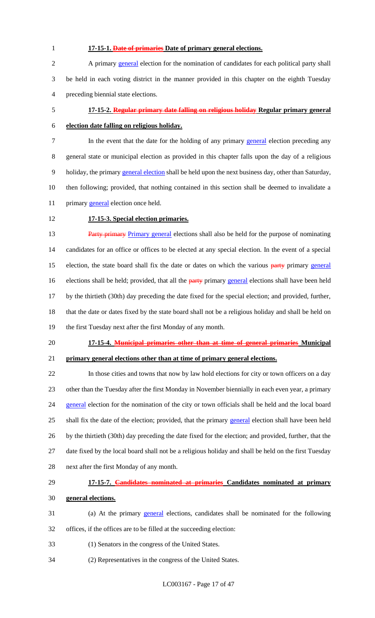## **17-15-1. Date of primaries Date of primary general elections.**

 A primary general election for the nomination of candidates for each political party shall be held in each voting district in the manner provided in this chapter on the eighth Tuesday preceding biennial state elections.

# **17-15-2. Regular primary date falling on religious holiday Regular primary general election date falling on religious holiday.**

7 In the event that the date for the holding of any primary general election preceding any general state or municipal election as provided in this chapter falls upon the day of a religious 9 holiday, the primary general election shall be held upon the next business day, other than Saturday, then following; provided, that nothing contained in this section shall be deemed to invalidate a 11 primary **general** election once held.

# **17-15-3. Special election primaries.**

**Party primary Primary general elections shall also be held for the purpose of nominating**  candidates for an office or offices to be elected at any special election. In the event of a special 15 election, the state board shall fix the date or dates on which the various party primary general 16 elections shall be held; provided, that all the party primary general elections shall have been held by the thirtieth (30th) day preceding the date fixed for the special election; and provided, further, that the date or dates fixed by the state board shall not be a religious holiday and shall be held on the first Tuesday next after the first Monday of any month.

#### **17-15-4. Municipal primaries other than at time of general primaries Municipal**

**primary general elections other than at time of primary general elections.**

 In those cities and towns that now by law hold elections for city or town officers on a day other than the Tuesday after the first Monday in November biennially in each even year, a primary 24 general election for the nomination of the city or town officials shall be held and the local board 25 shall fix the date of the election; provided, that the primary general election shall have been held by the thirtieth (30th) day preceding the date fixed for the election; and provided, further, that the date fixed by the local board shall not be a religious holiday and shall be held on the first Tuesday next after the first Monday of any month.

# **17-15-7. Candidates nominated at primaries Candidates nominated at primary general elections.**

- (a) At the primary general elections, candidates shall be nominated for the following offices, if the offices are to be filled at the succeeding election:
- (1) Senators in the congress of the United States.
- (2) Representatives in the congress of the United States.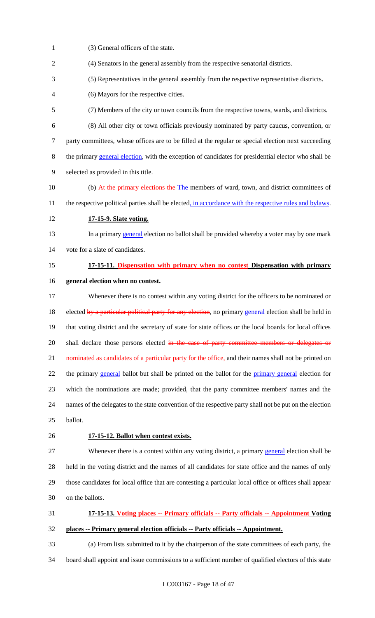(3) General officers of the state. (4) Senators in the general assembly from the respective senatorial districts. (5) Representatives in the general assembly from the respective representative districts. (6) Mayors for the respective cities. (7) Members of the city or town councils from the respective towns, wards, and districts. (8) All other city or town officials previously nominated by party caucus, convention, or party committees, whose offices are to be filled at the regular or special election next succeeding the primary general election, with the exception of candidates for presidential elector who shall be selected as provided in this title. 10 (b) At the primary elections the The members of ward, town, and district committees of 11 the respective political parties shall be elected, in accordance with the respective rules and bylaws. **17-15-9. Slate voting.** 13 In a primary general election no ballot shall be provided whereby a voter may by one mark vote for a slate of candidates. **17-15-11. Dispensation with primary when no contest Dispensation with primary general election when no contest.** Whenever there is no contest within any voting district for the officers to be nominated or 18 elected by a particular political party for any election, no primary general election shall be held in that voting district and the secretary of state for state offices or the local boards for local offices 20 shall declare those persons elected in the case of party committee members or delegates or 21 nominated as candidates of a particular party for the office, and their names shall not be printed on 22 the primary general ballot but shall be printed on the ballot for the primary general election for which the nominations are made; provided, that the party committee members' names and the names of the delegates to the state convention of the respective party shall not be put on the election ballot. **17-15-12. Ballot when contest exists.** 27 Whenever there is a contest within any voting district, a primary general election shall be held in the voting district and the names of all candidates for state office and the names of only those candidates for local office that are contesting a particular local office or offices shall appear on the ballots. **17-15-13. Voting places -- Primary officials -- Party officials -- Appointment Voting places -- Primary general election officials -- Party officials -- Appointment.** (a) From lists submitted to it by the chairperson of the state committees of each party, the

board shall appoint and issue commissions to a sufficient number of qualified electors of this state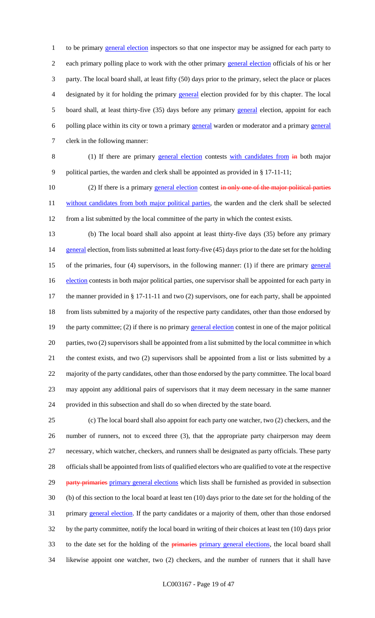1 to be primary general election inspectors so that one inspector may be assigned for each party to 2 each primary polling place to work with the other primary general election officials of his or her party. The local board shall, at least fifty (50) days prior to the primary, select the place or places designated by it for holding the primary general election provided for by this chapter. The local board shall, at least thirty-five (35) days before any primary general election, appoint for each polling place within its city or town a primary general warden or moderator and a primary general clerk in the following manner:

8 (1) If there are primary general election contests with candidates from  $\frac{1}{2}$  both major political parties, the warden and clerk shall be appointed as provided in § 17-11-11;

10 (2) If there is a primary general election contest in only one of the major political parties 11 without candidates from both major political parties, the warden and the clerk shall be selected from a list submitted by the local committee of the party in which the contest exists.

 (b) The local board shall also appoint at least thirty-five days (35) before any primary 14 general election, from lists submitted at least forty-five (45) days prior to the date set for the holding 15 of the primaries, four (4) supervisors, in the following manner: (1) if there are primary general 16 election contests in both major political parties, one supervisor shall be appointed for each party in the manner provided in § 17-11-11 and two (2) supervisors, one for each party, shall be appointed from lists submitted by a majority of the respective party candidates, other than those endorsed by 19 the party committee; (2) if there is no primary general election contest in one of the major political parties, two (2) supervisors shall be appointed from a list submitted by the local committee in which the contest exists, and two (2) supervisors shall be appointed from a list or lists submitted by a majority of the party candidates, other than those endorsed by the party committee. The local board may appoint any additional pairs of supervisors that it may deem necessary in the same manner provided in this subsection and shall do so when directed by the state board.

 (c) The local board shall also appoint for each party one watcher, two (2) checkers, and the number of runners, not to exceed three (3), that the appropriate party chairperson may deem necessary, which watcher, checkers, and runners shall be designated as party officials. These party officials shall be appointed from lists of qualified electors who are qualified to vote at the respective 29 party primaries primary general elections which lists shall be furnished as provided in subsection (b) of this section to the local board at least ten (10) days prior to the date set for the holding of the 31 primary general election. If the party candidates or a majority of them, other than those endorsed by the party committee, notify the local board in writing of their choices at least ten (10) days prior 33 to the date set for the holding of the **primaries** primary general elections, the local board shall likewise appoint one watcher, two (2) checkers, and the number of runners that it shall have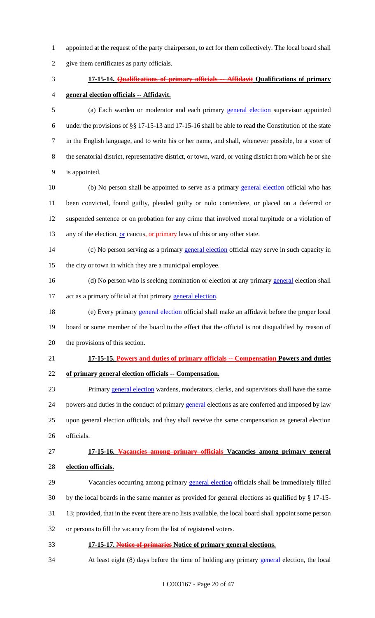- appointed at the request of the party chairperson, to act for them collectively. The local board shall
- give them certificates as party officials.
- 

# **17-15-14. Qualifications of primary officials -- Affidavit Qualifications of primary**

## **general election officials -- Affidavit.**

 (a) Each warden or moderator and each primary general election supervisor appointed under the provisions of §§ 17-15-13 and 17-15-16 shall be able to read the Constitution of the state in the English language, and to write his or her name, and shall, whenever possible, be a voter of the senatorial district, representative district, or town, ward, or voting district from which he or she is appointed.

10 (b) No person shall be appointed to serve as a primary general election official who has been convicted, found guilty, pleaded guilty or nolo contendere, or placed on a deferred or suspended sentence or on probation for any crime that involved moral turpitude or a violation of 13 any of the election,  $or$  caucus, or primary laws of this or any other state.

- 14 (c) No person serving as a primary general election official may serve in such capacity in the city or town in which they are a municipal employee.
- 16 (d) No person who is seeking nomination or election at any primary general election shall 17 act as a primary official at that primary general election.

18 (e) Every primary **general election** official shall make an affidavit before the proper local board or some member of the board to the effect that the official is not disqualified by reason of the provisions of this section.

## **17-15-15. Powers and duties of primary officials -- Compensation Powers and duties**

# **of primary general election officials -- Compensation.**

 Primary general election wardens, moderators, clerks, and supervisors shall have the same 24 powers and duties in the conduct of primary general elections as are conferred and imposed by law upon general election officials, and they shall receive the same compensation as general election officials.

# **17-15-16. Vacancies among primary officials Vacancies among primary general election officials.**

- 29 Vacancies occurring among primary **general election** officials shall be immediately filled
- by the local boards in the same manner as provided for general elections as qualified by § 17-15-
- 13; provided, that in the event there are no lists available, the local board shall appoint some person
- or persons to fill the vacancy from the list of registered voters.
- **17-15-17. Notice of primaries Notice of primary general elections.**
- 34 At least eight (8) days before the time of holding any primary general election, the local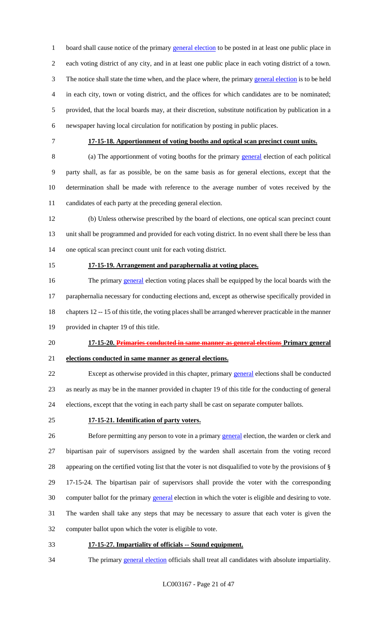1 board shall cause notice of the primary general election to be posted in at least one public place in each voting district of any city, and in at least one public place in each voting district of a town. The notice shall state the time when, and the place where, the primary general election is to be held in each city, town or voting district, and the offices for which candidates are to be nominated; provided, that the local boards may, at their discretion, substitute notification by publication in a newspaper having local circulation for notification by posting in public places.

# **17-15-18. Apportionment of voting booths and optical scan precinct count units.**

 (a) The apportionment of voting booths for the primary general election of each political party shall, as far as possible, be on the same basis as for general elections, except that the determination shall be made with reference to the average number of votes received by the candidates of each party at the preceding general election.

 (b) Unless otherwise prescribed by the board of elections, one optical scan precinct count unit shall be programmed and provided for each voting district. In no event shall there be less than one optical scan precinct count unit for each voting district.

#### **17-15-19. Arrangement and paraphernalia at voting places.**

16 The primary general election voting places shall be equipped by the local boards with the paraphernalia necessary for conducting elections and, except as otherwise specifically provided in chapters 12 -- 15 of this title, the voting places shall be arranged wherever practicable in the manner provided in chapter 19 of this title.

# **17-15-20. Primaries conducted in same manner as general elections Primary general**

# **elections conducted in same manner as general elections.**

22 Except as otherwise provided in this chapter, primary general elections shall be conducted as nearly as may be in the manner provided in chapter 19 of this title for the conducting of general elections, except that the voting in each party shall be cast on separate computer ballots.

#### **17-15-21. Identification of party voters.**

26 Before permitting any person to vote in a primary general election, the warden or clerk and bipartisan pair of supervisors assigned by the warden shall ascertain from the voting record appearing on the certified voting list that the voter is not disqualified to vote by the provisions of § 17-15-24. The bipartisan pair of supervisors shall provide the voter with the corresponding computer ballot for the primary general election in which the voter is eligible and desiring to vote. The warden shall take any steps that may be necessary to assure that each voter is given the computer ballot upon which the voter is eligible to vote.

**17-15-27. Impartiality of officials -- Sound equipment.**

34 The primary general election officials shall treat all candidates with absolute impartiality.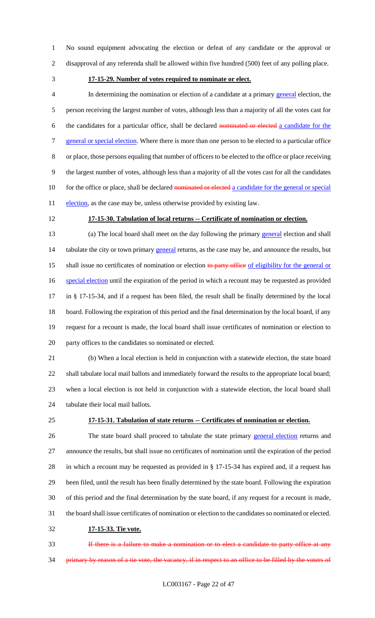No sound equipment advocating the election or defeat of any candidate or the approval or disapproval of any referenda shall be allowed within five hundred (500) feet of any polling place.

#### **17-15-29. Number of votes required to nominate or elect.**

 In determining the nomination or election of a candidate at a primary general election, the person receiving the largest number of votes, although less than a majority of all the votes cast for the candidates for a particular office, shall be declared nominated or elected a candidate for the 7 general or special election. Where there is more than one person to be elected to a particular office or place, those persons equaling that number of officers to be elected to the office or place receiving the largest number of votes, although less than a majority of all the votes cast for all the candidates 10 for the office or place, shall be declared nominated or elected a candidate for the general or special 11 election, as the case may be, unless otherwise provided by existing law.

## **17-15-30. Tabulation of local returns -- Certificate of nomination or election.**

13 (a) The local board shall meet on the day following the primary general election and shall 14 tabulate the city or town primary general returns, as the case may be, and announce the results, but 15 shall issue no certificates of nomination or election to party office of eligibility for the general or 16 special election until the expiration of the period in which a recount may be requested as provided in § 17-15-34, and if a request has been filed, the result shall be finally determined by the local board. Following the expiration of this period and the final determination by the local board, if any request for a recount is made, the local board shall issue certificates of nomination or election to party offices to the candidates so nominated or elected.

 (b) When a local election is held in conjunction with a statewide election, the state board shall tabulate local mail ballots and immediately forward the results to the appropriate local board; when a local election is not held in conjunction with a statewide election, the local board shall tabulate their local mail ballots.

# **17-15-31. Tabulation of state returns -- Certificates of nomination or election.**

26 The state board shall proceed to tabulate the state primary general election returns and announce the results, but shall issue no certificates of nomination until the expiration of the period in which a recount may be requested as provided in § 17-15-34 has expired and, if a request has been filed, until the result has been finally determined by the state board. Following the expiration of this period and the final determination by the state board, if any request for a recount is made, the board shall issue certificates of nomination or election to the candidates so nominated or elected.

## **17-15-33. Tie vote.**

**If there is a failure to make a nomination or to elect a candidate to party office at any** 34 primary by reason of a tie vote, the vacancy, if in respect to an office to be filled by the voters of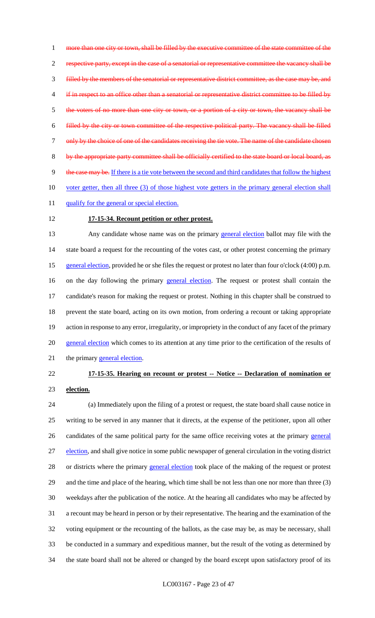1 more than one city or town, shall be filled by the executive committee of the state committee of the 2 respective party, except in the case of a senatorial or representative committee the vacancy shall be 3 filled by the members of the senatorial or representative district committee, as the case may be, and 4 if in respect to an office other than a senatorial or representative district committee to be filled by 5 the voters of no more than one city or town, or a portion of a city or town, the vacancy shall be 6 filled by the city or town committee of the respective political party. The vacancy shall be filled 7 only by the choice of one of the candidates receiving the tie vote. The name of the candidate chosen 8 by the appropriate party committee shall be officially certified to the state board or local board, as 9 the case may be. If there is a tie vote between the second and third candidates that follow the highest 10 voter getter, then all three (3) of those highest vote getters in the primary general election shall 11 qualify for the general or special election.

# 12 **17-15-34. Recount petition or other protest.**

13 Any candidate whose name was on the primary general election ballot may file with the 14 state board a request for the recounting of the votes cast, or other protest concerning the primary 15 general election, provided he or she files the request or protest no later than four o'clock (4:00) p.m. 16 on the day following the primary **general election**. The request or protest shall contain the 17 candidate's reason for making the request or protest. Nothing in this chapter shall be construed to 18 prevent the state board, acting on its own motion, from ordering a recount or taking appropriate 19 action in response to any error, irregularity, or impropriety in the conduct of any facet of the primary 20 general election which comes to its attention at any time prior to the certification of the results of 21 the primary general election.

# 22 **17-15-35. Hearing on recount or protest -- Notice -- Declaration of nomination or**  23 **election.**

 (a) Immediately upon the filing of a protest or request, the state board shall cause notice in writing to be served in any manner that it directs, at the expense of the petitioner, upon all other 26 candidates of the same political party for the same office receiving votes at the primary general 27 election, and shall give notice in some public newspaper of general circulation in the voting district 28 or districts where the primary general election took place of the making of the request or protest and the time and place of the hearing, which time shall be not less than one nor more than three (3) weekdays after the publication of the notice. At the hearing all candidates who may be affected by a recount may be heard in person or by their representative. The hearing and the examination of the voting equipment or the recounting of the ballots, as the case may be, as may be necessary, shall be conducted in a summary and expeditious manner, but the result of the voting as determined by the state board shall not be altered or changed by the board except upon satisfactory proof of its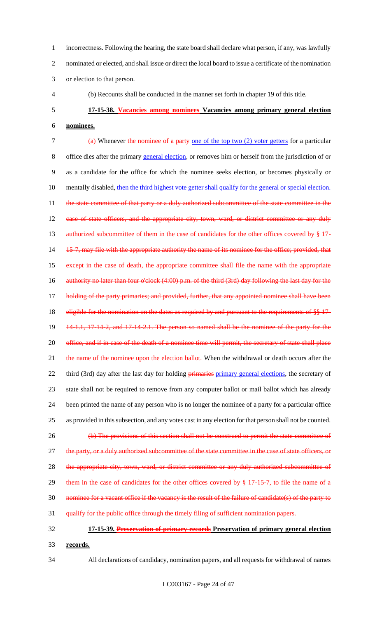1 incorrectness. Following the hearing, the state board shall declare what person, if any, was lawfully 2 nominated or elected, and shall issue or direct the local board to issue a certificate of the nomination 3 or election to that person.

4 (b) Recounts shall be conducted in the manner set forth in chapter 19 of this title.

# 5 **17-15-38. Vacancies among nominees Vacancies among primary general election**

6 **nominees.**

7 (a) Whenever the nominee of a party one of the top two (2) voter getters for a particular 8 office dies after the primary general election, or removes him or herself from the jurisdiction of or 9 as a candidate for the office for which the nominee seeks election, or becomes physically or 10 mentally disabled, then the third highest vote getter shall qualify for the general or special election. 11 the state committee of that party or a duly authorized subcommittee of the state committee in the 12 case of state officers, and the appropriate city, town, ward, or district committee or any duly 13 authorized subcommittee of them in the case of candidates for the other offices covered by § 17-14 15-7, may file with the appropriate authority the name of its nominee for the office; provided, that 15 except in the case of death, the appropriate committee shall file the name with the appropriate 16 authority no later than four o'clock (4:00) p.m. of the third (3rd) day following the last day for the 17 holding of the party primaries; and provided, further, that any appointed nominee shall have been 18 eligible for the nomination on the dates as required by and pursuant to the requirements of §§ 17-19 14-1.1, 17-14-2, and 17-14-2.1. The person so named shall be the nominee of the party for the 20 office, and if in case of the death of a nominee time will permit, the secretary of state shall place 21 the name of the nominee upon the election ballot. When the withdrawal or death occurs after the 22 third (3rd) day after the last day for holding *primaries primary general elections*, the secretary of 23 state shall not be required to remove from any computer ballot or mail ballot which has already 24 been printed the name of any person who is no longer the nominee of a party for a particular office 25 as provided in this subsection, and any votes cast in any election for that person shall not be counted. 26 (b) The provisions of this section shall not be construed to permit the state committee of 27 the party, or a duly authorized subcommittee of the state committee in the case of state officers, or 28 the appropriate city, town, ward, or district committee or any duly authorized subcommittee of 29 them in the case of candidates for the other offices covered by § 17-15-7, to file the name of a 30 nominee for a vacant office if the vacancy is the result of the failure of candidate(s) of the party to 31 qualify for the public office through the timely filing of sufficient nomination papers.

- 
- 32 **17-15-39. Preservation of primary records Preservation of primary general election**  33 **records.**
- 

34 All declarations of candidacy, nomination papers, and all requests for withdrawal of names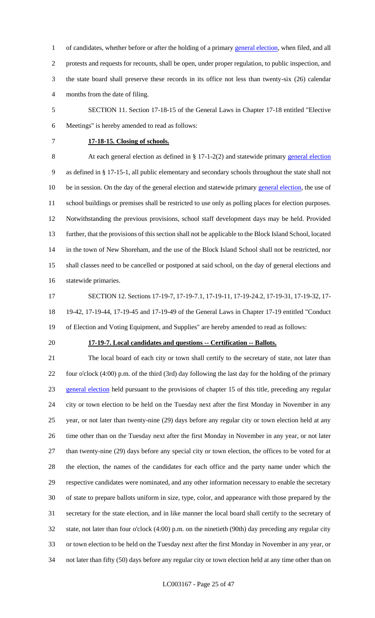1 of candidates, whether before or after the holding of a primary general election, when filed, and all protests and requests for recounts, shall be open, under proper regulation, to public inspection, and the state board shall preserve these records in its office not less than twenty-six (26) calendar months from the date of filing.

- SECTION 11. Section 17-18-15 of the General Laws in Chapter 17-18 entitled "Elective Meetings" is hereby amended to read as follows:
- 

## **17-18-15. Closing of schools.**

 At each general election as defined in § 17-1-2(2) and statewide primary general election as defined in § 17-15-1, all public elementary and secondary schools throughout the state shall not 10 be in session. On the day of the general election and statewide primary general election, the use of school buildings or premises shall be restricted to use only as polling places for election purposes. Notwithstanding the previous provisions, school staff development days may be held. Provided further, that the provisions of this section shall not be applicable to the Block Island School, located in the town of New Shoreham, and the use of the Block Island School shall not be restricted, nor shall classes need to be cancelled or postponed at said school, on the day of general elections and statewide primaries.

 SECTION 12. Sections 17-19-7, 17-19-7.1, 17-19-11, 17-19-24.2, 17-19-31, 17-19-32, 17- 19-42, 17-19-44, 17-19-45 and 17-19-49 of the General Laws in Chapter 17-19 entitled "Conduct of Election and Voting Equipment, and Supplies" are hereby amended to read as follows:

#### **17-19-7. Local candidates and questions -- Certification -- Ballots.**

 The local board of each city or town shall certify to the secretary of state, not later than four o'clock (4:00) p.m. of the third (3rd) day following the last day for the holding of the primary 23 general election held pursuant to the provisions of chapter 15 of this title, preceding any regular city or town election to be held on the Tuesday next after the first Monday in November in any year, or not later than twenty-nine (29) days before any regular city or town election held at any time other than on the Tuesday next after the first Monday in November in any year, or not later than twenty-nine (29) days before any special city or town election, the offices to be voted for at the election, the names of the candidates for each office and the party name under which the respective candidates were nominated, and any other information necessary to enable the secretary of state to prepare ballots uniform in size, type, color, and appearance with those prepared by the secretary for the state election, and in like manner the local board shall certify to the secretary of state, not later than four o'clock (4:00) p.m. on the ninetieth (90th) day preceding any regular city or town election to be held on the Tuesday next after the first Monday in November in any year, or not later than fifty (50) days before any regular city or town election held at any time other than on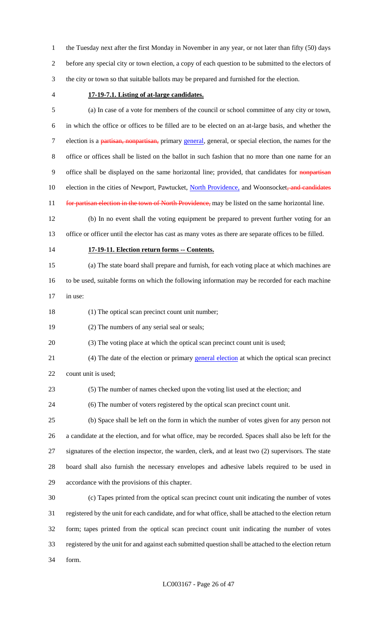the Tuesday next after the first Monday in November in any year, or not later than fifty (50) days before any special city or town election, a copy of each question to be submitted to the electors of the city or town so that suitable ballots may be prepared and furnished for the election.

#### **17-19-7.1. Listing of at-large candidates.**

 (a) In case of a vote for members of the council or school committee of any city or town, in which the office or offices to be filled are to be elected on an at-large basis, and whether the 7 election is a partisan, nonpartisan, primary general, general, or special election, the names for the office or offices shall be listed on the ballot in such fashion that no more than one name for an 9 office shall be displayed on the same horizontal line; provided, that candidates for nonpartisan 10 election in the cities of Newport, Pawtucket, North Providence, and Woonsocket, and candidates 11 for partisan election in the town of North Providence, may be listed on the same horizontal line.

 (b) In no event shall the voting equipment be prepared to prevent further voting for an office or officer until the elector has cast as many votes as there are separate offices to be filled.

#### **17-19-11. Election return forms -- Contents.**

(a) The state board shall prepare and furnish, for each voting place at which machines are

to be used, suitable forms on which the following information may be recorded for each machine

in use:

18 (1) The optical scan precinct count unit number;

(2) The numbers of any serial seal or seals;

(3) The voting place at which the optical scan precinct count unit is used;

(4) The date of the election or primary general election at which the optical scan precinct

count unit is used;

(5) The number of names checked upon the voting list used at the election; and

(6) The number of voters registered by the optical scan precinct count unit.

 (b) Space shall be left on the form in which the number of votes given for any person not a candidate at the election, and for what office, may be recorded. Spaces shall also be left for the signatures of the election inspector, the warden, clerk, and at least two (2) supervisors. The state board shall also furnish the necessary envelopes and adhesive labels required to be used in accordance with the provisions of this chapter.

 (c) Tapes printed from the optical scan precinct count unit indicating the number of votes registered by the unit for each candidate, and for what office, shall be attached to the election return form; tapes printed from the optical scan precinct count unit indicating the number of votes registered by the unit for and against each submitted question shall be attached to the election return form.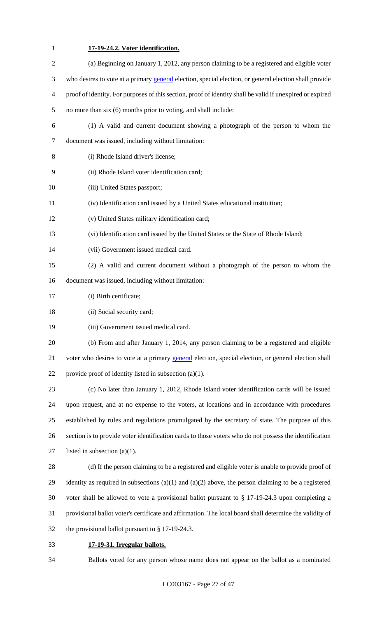# **17-19-24.2. Voter identification.**

| $\overline{2}$ | (a) Beginning on January 1, 2012, any person claiming to be a registered and eligible voter               |
|----------------|-----------------------------------------------------------------------------------------------------------|
| 3              | who desires to vote at a primary general election, special election, or general election shall provide    |
| 4              | proof of identity. For purposes of this section, proof of identity shall be valid if unexpired or expired |
| 5              | no more than six (6) months prior to voting, and shall include:                                           |
| 6              | (1) A valid and current document showing a photograph of the person to whom the                           |
| 7              | document was issued, including without limitation:                                                        |
| $8\,$          | (i) Rhode Island driver's license;                                                                        |
| 9              | (ii) Rhode Island voter identification card;                                                              |
| 10             | (iii) United States passport;                                                                             |
| 11             | (iv) Identification card issued by a United States educational institution;                               |
| 12             | (v) United States military identification card;                                                           |
| 13             | (vi) Identification card issued by the United States or the State of Rhode Island;                        |
| 14             | (vii) Government issued medical card.                                                                     |
| 15             | (2) A valid and current document without a photograph of the person to whom the                           |
| 16             | document was issued, including without limitation:                                                        |
| 17             | (i) Birth certificate;                                                                                    |
| 18             | (ii) Social security card;                                                                                |
| 19             | (iii) Government issued medical card.                                                                     |
| 20             | (b) From and after January 1, 2014, any person claiming to be a registered and eligible                   |
| 21             | voter who desires to vote at a primary general election, special election, or general election shall      |
| 22             | provide proof of identity listed in subsection $(a)(1)$ .                                                 |
| 23             | (c) No later than January 1, 2012, Rhode Island voter identification cards will be issued                 |
| 24             | upon request, and at no expense to the voters, at locations and in accordance with procedures             |
| 25             | established by rules and regulations promulgated by the secretary of state. The purpose of this           |
| 26             | section is to provide voter identification cards to those voters who do not possess the identification    |
| 27             | listed in subsection $(a)(1)$ .                                                                           |
| 28             | (d) If the person claiming to be a registered and eligible voter is unable to provide proof of            |
| 29             | identity as required in subsections $(a)(1)$ and $(a)(2)$ above, the person claiming to be a registered   |
| 30             | voter shall be allowed to vote a provisional ballot pursuant to $\S$ 17-19-24.3 upon completing a         |
| 31             | provisional ballot voter's certificate and affirmation. The local board shall determine the validity of   |
| 32             | the provisional ballot pursuant to $\S 17-19-24.3$ .                                                      |
| 33             | 17-19-31. Irregular ballots.                                                                              |

Ballots voted for any person whose name does not appear on the ballot as a nominated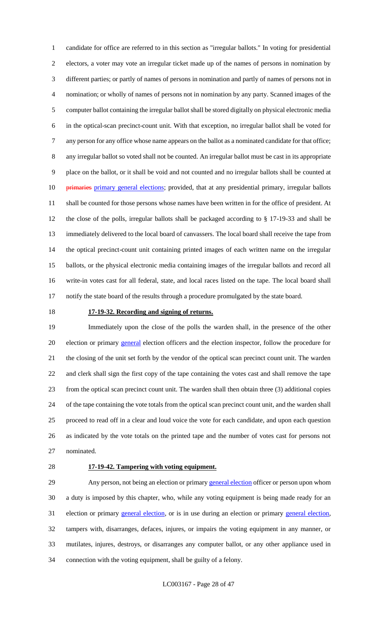candidate for office are referred to in this section as "irregular ballots." In voting for presidential electors, a voter may vote an irregular ticket made up of the names of persons in nomination by different parties; or partly of names of persons in nomination and partly of names of persons not in nomination; or wholly of names of persons not in nomination by any party. Scanned images of the computer ballot containing the irregular ballot shall be stored digitally on physical electronic media in the optical-scan precinct-count unit. With that exception, no irregular ballot shall be voted for any person for any office whose name appears on the ballot as a nominated candidate for that office; any irregular ballot so voted shall not be counted. An irregular ballot must be cast in its appropriate place on the ballot, or it shall be void and not counted and no irregular ballots shall be counted at 10 <del>primaries primary general elections</del>; provided, that at any presidential primary, irregular ballots shall be counted for those persons whose names have been written in for the office of president. At the close of the polls, irregular ballots shall be packaged according to § 17-19-33 and shall be immediately delivered to the local board of canvassers. The local board shall receive the tape from the optical precinct-count unit containing printed images of each written name on the irregular ballots, or the physical electronic media containing images of the irregular ballots and record all write-in votes cast for all federal, state, and local races listed on the tape. The local board shall notify the state board of the results through a procedure promulgated by the state board.

#### **17-19-32. Recording and signing of returns.**

 Immediately upon the close of the polls the warden shall, in the presence of the other 20 election or primary general election officers and the election inspector, follow the procedure for the closing of the unit set forth by the vendor of the optical scan precinct count unit. The warden and clerk shall sign the first copy of the tape containing the votes cast and shall remove the tape from the optical scan precinct count unit. The warden shall then obtain three (3) additional copies of the tape containing the vote totals from the optical scan precinct count unit, and the warden shall proceed to read off in a clear and loud voice the vote for each candidate, and upon each question as indicated by the vote totals on the printed tape and the number of votes cast for persons not nominated.

#### **17-19-42. Tampering with voting equipment.**

29 Any person, not being an election or primary general election officer or person upon whom a duty is imposed by this chapter, who, while any voting equipment is being made ready for an 31 election or primary general election, or is in use during an election or primary general election, tampers with, disarranges, defaces, injures, or impairs the voting equipment in any manner, or mutilates, injures, destroys, or disarranges any computer ballot, or any other appliance used in connection with the voting equipment, shall be guilty of a felony.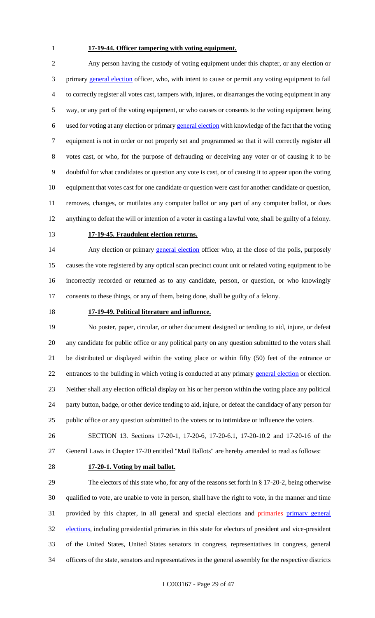# **17-19-44. Officer tampering with voting equipment.**

 Any person having the custody of voting equipment under this chapter, or any election or 3 primary general election officer, who, with intent to cause or permit any voting equipment to fail to correctly register all votes cast, tampers with, injures, or disarranges the voting equipment in any way, or any part of the voting equipment, or who causes or consents to the voting equipment being used for voting at any election or primary general election with knowledge of the fact that the voting equipment is not in order or not properly set and programmed so that it will correctly register all votes cast, or who, for the purpose of defrauding or deceiving any voter or of causing it to be doubtful for what candidates or question any vote is cast, or of causing it to appear upon the voting equipment that votes cast for one candidate or question were cast for another candidate or question, removes, changes, or mutilates any computer ballot or any part of any computer ballot, or does anything to defeat the will or intention of a voter in casting a lawful vote, shall be guilty of a felony.

#### **17-19-45. Fraudulent election returns.**

14 Any election or primary general election officer who, at the close of the polls, purposely causes the vote registered by any optical scan precinct count unit or related voting equipment to be incorrectly recorded or returned as to any candidate, person, or question, or who knowingly consents to these things, or any of them, being done, shall be guilty of a felony.

#### **17-19-49. Political literature and influence.**

 No poster, paper, circular, or other document designed or tending to aid, injure, or defeat any candidate for public office or any political party on any question submitted to the voters shall be distributed or displayed within the voting place or within fifty (50) feet of the entrance or 22 entrances to the building in which voting is conducted at any primary general election or election. Neither shall any election official display on his or her person within the voting place any political party button, badge, or other device tending to aid, injure, or defeat the candidacy of any person for public office or any question submitted to the voters or to intimidate or influence the voters.

 SECTION 13. Sections 17-20-1, 17-20-6, 17-20-6.1, 17-20-10.2 and 17-20-16 of the General Laws in Chapter 17-20 entitled "Mail Ballots" are hereby amended to read as follows:

#### **17-20-1. Voting by mail ballot.**

 The electors of this state who, for any of the reasons set forth in § 17-20-2, being otherwise qualified to vote, are unable to vote in person, shall have the right to vote, in the manner and time 31 provided by this chapter, in all general and special elections and primaries primary general 32 elections, including presidential primaries in this state for electors of president and vice-president of the United States, United States senators in congress, representatives in congress, general officers of the state, senators and representatives in the general assembly for the respective districts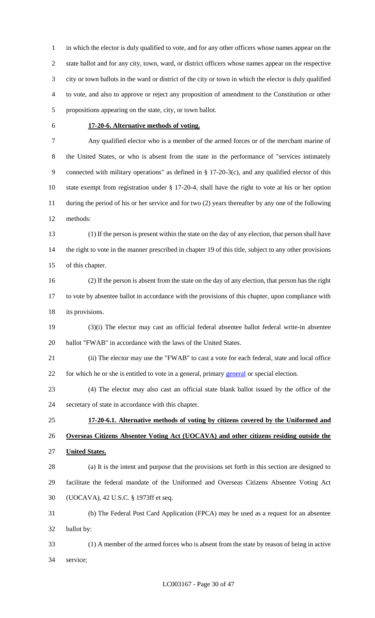in which the elector is duly qualified to vote, and for any other officers whose names appear on the state ballot and for any city, town, ward, or district officers whose names appear on the respective city or town ballots in the ward or district of the city or town in which the elector is duly qualified to vote, and also to approve or reject any proposition of amendment to the Constitution or other propositions appearing on the state, city, or town ballot.

#### **17-20-6. Alternative methods of voting.**

 Any qualified elector who is a member of the armed forces or of the merchant marine of the United States, or who is absent from the state in the performance of "services intimately connected with military operations" as defined in § 17-20-3(c), and any qualified elector of this state exempt from registration under § 17-20-4, shall have the right to vote at his or her option during the period of his or her service and for two (2) years thereafter by any one of the following methods:

 (1) If the person is present within the state on the day of any election, that person shall have 14 the right to vote in the manner prescribed in chapter 19 of this title, subject to any other provisions of this chapter.

 (2) If the person is absent from the state on the day of any election, that person has the right to vote by absentee ballot in accordance with the provisions of this chapter, upon compliance with 18 its provisions.

 (3)(i) The elector may cast an official federal absentee ballot federal write-in absentee ballot "FWAB" in accordance with the laws of the United States.

 (ii) The elector may use the "FWAB" to cast a vote for each federal, state and local office 22 for which he or she is entitled to vote in a general, primary general or special election.

 (4) The elector may also cast an official state blank ballot issued by the office of the secretary of state in accordance with this chapter.

 **17-20-6.1. Alternative methods of voting by citizens covered by the Uniformed and Overseas Citizens Absentee Voting Act (UOCAVA) and other citizens residing outside the United States.**

 (a) It is the intent and purpose that the provisions set forth in this section are designed to facilitate the federal mandate of the Uniformed and Overseas Citizens Absentee Voting Act (UOCAVA), 42 U.S.C. § 1973ff et seq.

 (b) The Federal Post Card Application (FPCA) may be used as a request for an absentee ballot by:

 (1) A member of the armed forces who is absent from the state by reason of being in active service;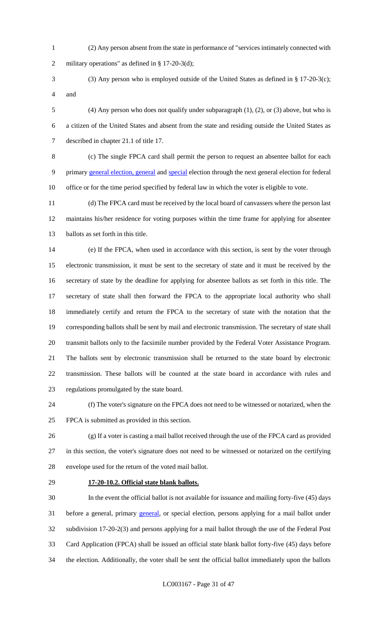- (2) Any person absent from the state in performance of "services intimately connected with military operations" as defined in § 17-20-3(d);
- (3) Any person who is employed outside of the United States as defined in § 17-20-3(c); and
- (4) Any person who does not qualify under subparagraph (1), (2), or (3) above, but who is a citizen of the United States and absent from the state and residing outside the United States as described in chapter 21.1 of title 17.

 (c) The single FPCA card shall permit the person to request an absentee ballot for each 9 primary general election, general and special election through the next general election for federal office or for the time period specified by federal law in which the voter is eligible to vote.

 (d) The FPCA card must be received by the local board of canvassers where the person last maintains his/her residence for voting purposes within the time frame for applying for absentee ballots as set forth in this title.

 (e) If the FPCA, when used in accordance with this section, is sent by the voter through electronic transmission, it must be sent to the secretary of state and it must be received by the secretary of state by the deadline for applying for absentee ballots as set forth in this title. The secretary of state shall then forward the FPCA to the appropriate local authority who shall immediately certify and return the FPCA to the secretary of state with the notation that the corresponding ballots shall be sent by mail and electronic transmission. The secretary of state shall transmit ballots only to the facsimile number provided by the Federal Voter Assistance Program. The ballots sent by electronic transmission shall be returned to the state board by electronic transmission. These ballots will be counted at the state board in accordance with rules and regulations promulgated by the state board.

 (f) The voter's signature on the FPCA does not need to be witnessed or notarized, when the FPCA is submitted as provided in this section.

 (g) If a voter is casting a mail ballot received through the use of the FPCA card as provided in this section, the voter's signature does not need to be witnessed or notarized on the certifying envelope used for the return of the voted mail ballot.

### **17-20-10.2. Official state blank ballots.**

 In the event the official ballot is not available for issuance and mailing forty-five (45) days 31 before a general, primary general, or special election, persons applying for a mail ballot under subdivision 17-20-2(3) and persons applying for a mail ballot through the use of the Federal Post Card Application (FPCA) shall be issued an official state blank ballot forty-five (45) days before the election. Additionally, the voter shall be sent the official ballot immediately upon the ballots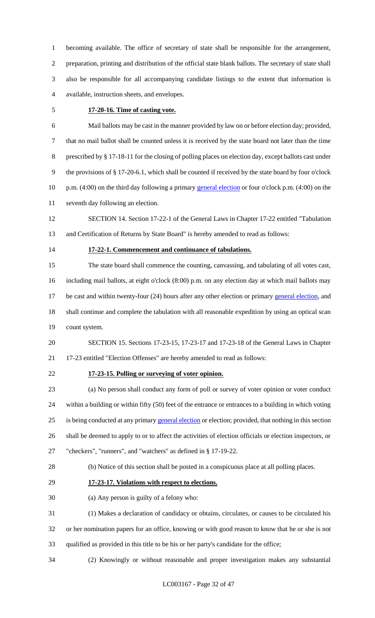becoming available. The office of secretary of state shall be responsible for the arrangement, preparation, printing and distribution of the official state blank ballots. The secretary of state shall also be responsible for all accompanying candidate listings to the extent that information is available, instruction sheets, and envelopes.

#### **17-20-16. Time of casting vote.**

 Mail ballots may be cast in the manner provided by law on or before election day; provided, that no mail ballot shall be counted unless it is received by the state board not later than the time prescribed by § 17-18-11 for the closing of polling places on election day, except ballots cast under the provisions of § 17-20-6.1, which shall be counted if received by the state board by four o'clock 10 p.m. (4:00) on the third day following a primary general election or four o'clock p.m. (4:00) on the seventh day following an election.

 SECTION 14. Section 17-22-1 of the General Laws in Chapter 17-22 entitled "Tabulation and Certification of Returns by State Board" is hereby amended to read as follows:

#### **17-22-1. Commencement and continuance of tabulations.**

 The state board shall commence the counting, canvassing, and tabulating of all votes cast, including mail ballots, at eight o'clock (8:00) p.m. on any election day at which mail ballots may 17 be cast and within twenty-four (24) hours after any other election or primary general election, and shall continue and complete the tabulation with all reasonable expedition by using an optical scan count system.

 SECTION 15. Sections 17-23-15, 17-23-17 and 17-23-18 of the General Laws in Chapter 17-23 entitled "Election Offenses" are hereby amended to read as follows:

## **17-23-15. Polling or surveying of voter opinion.**

 (a) No person shall conduct any form of poll or survey of voter opinion or voter conduct within a building or within fifty (50) feet of the entrance or entrances to a building in which voting 25 is being conducted at any primary general election or election; provided, that nothing in this section shall be deemed to apply to or to affect the activities of election officials or election inspectors, or "checkers", "runners", and "watchers" as defined in § 17-19-22.

(b) Notice of this section shall be posted in a conspicuous place at all polling places.

#### **17-23-17. Violations with respect to elections.**

(a) Any person is guilty of a felony who:

 (1) Makes a declaration of candidacy or obtains, circulates, or causes to be circulated his or her nomination papers for an office, knowing or with good reason to know that he or she is not

qualified as provided in this title to be his or her party's candidate for the office;

(2) Knowingly or without reasonable and proper investigation makes any substantial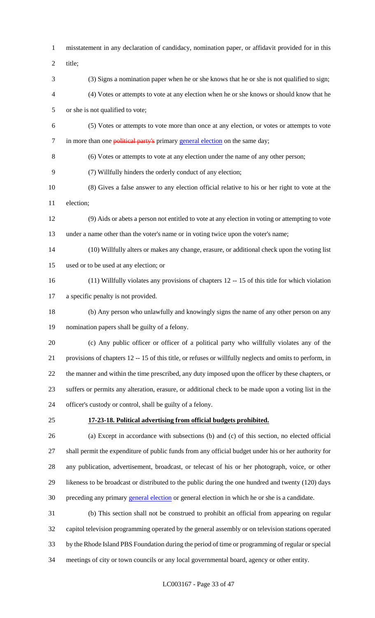misstatement in any declaration of candidacy, nomination paper, or affidavit provided for in this title; (3) Signs a nomination paper when he or she knows that he or she is not qualified to sign; (4) Votes or attempts to vote at any election when he or she knows or should know that he or she is not qualified to vote; (5) Votes or attempts to vote more than once at any election, or votes or attempts to vote 7 in more than one **political party's** primary general election on the same day; (6) Votes or attempts to vote at any election under the name of any other person; (7) Willfully hinders the orderly conduct of any election; (8) Gives a false answer to any election official relative to his or her right to vote at the election; (9) Aids or abets a person not entitled to vote at any election in voting or attempting to vote under a name other than the voter's name or in voting twice upon the voter's name; (10) Willfully alters or makes any change, erasure, or additional check upon the voting list used or to be used at any election; or (11) Willfully violates any provisions of chapters 12 -- 15 of this title for which violation a specific penalty is not provided. (b) Any person who unlawfully and knowingly signs the name of any other person on any nomination papers shall be guilty of a felony. (c) Any public officer or officer of a political party who willfully violates any of the provisions of chapters 12 -- 15 of this title, or refuses or willfully neglects and omits to perform, in the manner and within the time prescribed, any duty imposed upon the officer by these chapters, or suffers or permits any alteration, erasure, or additional check to be made upon a voting list in the officer's custody or control, shall be guilty of a felony. **17-23-18. Political advertising from official budgets prohibited.** (a) Except in accordance with subsections (b) and (c) of this section, no elected official shall permit the expenditure of public funds from any official budget under his or her authority for any publication, advertisement, broadcast, or telecast of his or her photograph, voice, or other likeness to be broadcast or distributed to the public during the one hundred and twenty (120) days 30 preceding any primary general election or general election in which he or she is a candidate. (b) This section shall not be construed to prohibit an official from appearing on regular capitol television programming operated by the general assembly or on television stations operated by the Rhode Island PBS Foundation during the period of time or programming of regular or special

meetings of city or town councils or any local governmental board, agency or other entity.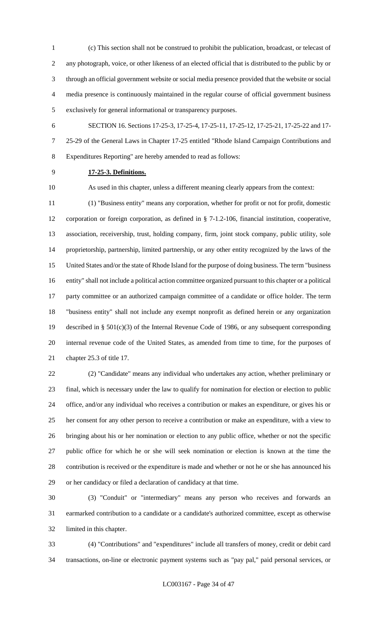(c) This section shall not be construed to prohibit the publication, broadcast, or telecast of any photograph, voice, or other likeness of an elected official that is distributed to the public by or through an official government website or social media presence provided that the website or social media presence is continuously maintained in the regular course of official government business exclusively for general informational or transparency purposes.

 SECTION 16. Sections 17-25-3, 17-25-4, 17-25-11, 17-25-12, 17-25-21, 17-25-22 and 17- 25-29 of the General Laws in Chapter 17-25 entitled "Rhode Island Campaign Contributions and Expenditures Reporting" are hereby amended to read as follows:

## **17-25-3. Definitions.**

As used in this chapter, unless a different meaning clearly appears from the context:

 (1) "Business entity" means any corporation, whether for profit or not for profit, domestic corporation or foreign corporation, as defined in § 7-1.2-106, financial institution, cooperative, association, receivership, trust, holding company, firm, joint stock company, public utility, sole proprietorship, partnership, limited partnership, or any other entity recognized by the laws of the United States and/or the state of Rhode Island for the purpose of doing business. The term "business entity" shall not include a political action committee organized pursuant to this chapter or a political party committee or an authorized campaign committee of a candidate or office holder. The term "business entity" shall not include any exempt nonprofit as defined herein or any organization described in § 501(c)(3) of the Internal Revenue Code of 1986, or any subsequent corresponding internal revenue code of the United States, as amended from time to time, for the purposes of chapter 25.3 of title 17.

 (2) "Candidate" means any individual who undertakes any action, whether preliminary or final, which is necessary under the law to qualify for nomination for election or election to public office, and/or any individual who receives a contribution or makes an expenditure, or gives his or her consent for any other person to receive a contribution or make an expenditure, with a view to bringing about his or her nomination or election to any public office, whether or not the specific public office for which he or she will seek nomination or election is known at the time the contribution is received or the expenditure is made and whether or not he or she has announced his or her candidacy or filed a declaration of candidacy at that time.

 (3) "Conduit" or "intermediary" means any person who receives and forwards an earmarked contribution to a candidate or a candidate's authorized committee, except as otherwise limited in this chapter.

 (4) "Contributions" and "expenditures" include all transfers of money, credit or debit card transactions, on-line or electronic payment systems such as "pay pal," paid personal services, or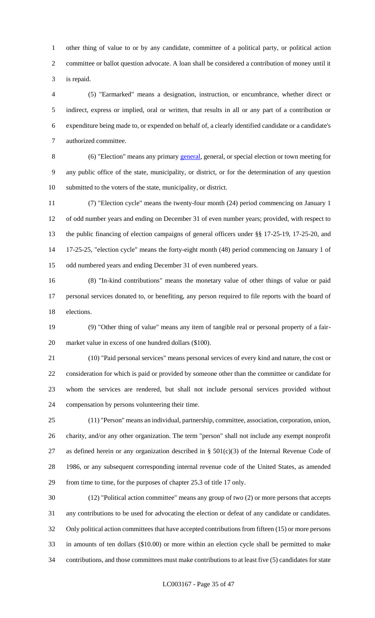other thing of value to or by any candidate, committee of a political party, or political action committee or ballot question advocate. A loan shall be considered a contribution of money until it is repaid.

 (5) "Earmarked" means a designation, instruction, or encumbrance, whether direct or indirect, express or implied, oral or written, that results in all or any part of a contribution or expenditure being made to, or expended on behalf of, a clearly identified candidate or a candidate's authorized committee.

 (6) "Election" means any primary general, general, or special election or town meeting for any public office of the state, municipality, or district, or for the determination of any question submitted to the voters of the state, municipality, or district.

 (7) "Election cycle" means the twenty-four month (24) period commencing on January 1 of odd number years and ending on December 31 of even number years; provided, with respect to the public financing of election campaigns of general officers under §§ 17-25-19, 17-25-20, and 17-25-25, "election cycle" means the forty-eight month (48) period commencing on January 1 of odd numbered years and ending December 31 of even numbered years.

 (8) "In-kind contributions" means the monetary value of other things of value or paid personal services donated to, or benefiting, any person required to file reports with the board of elections.

 (9) "Other thing of value" means any item of tangible real or personal property of a fair-market value in excess of one hundred dollars (\$100).

 (10) "Paid personal services" means personal services of every kind and nature, the cost or consideration for which is paid or provided by someone other than the committee or candidate for whom the services are rendered, but shall not include personal services provided without compensation by persons volunteering their time.

 (11) "Person" means an individual, partnership, committee, association, corporation, union, charity, and/or any other organization. The term "person" shall not include any exempt nonprofit 27 as defined herein or any organization described in  $\S$  501(c)(3) of the Internal Revenue Code of 1986, or any subsequent corresponding internal revenue code of the United States, as amended from time to time, for the purposes of chapter 25.3 of title 17 only.

 (12) "Political action committee" means any group of two (2) or more persons that accepts any contributions to be used for advocating the election or defeat of any candidate or candidates. Only political action committees that have accepted contributions from fifteen (15) or more persons in amounts of ten dollars (\$10.00) or more within an election cycle shall be permitted to make contributions, and those committees must make contributions to at least five (5) candidates for state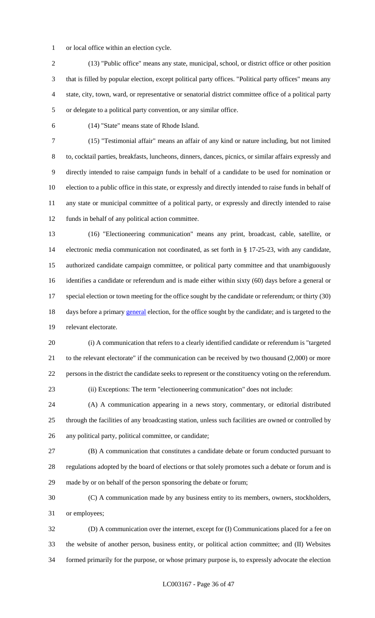or local office within an election cycle.

 (13) "Public office" means any state, municipal, school, or district office or other position that is filled by popular election, except political party offices. "Political party offices" means any state, city, town, ward, or representative or senatorial district committee office of a political party or delegate to a political party convention, or any similar office.

(14) "State" means state of Rhode Island.

 (15) "Testimonial affair" means an affair of any kind or nature including, but not limited to, cocktail parties, breakfasts, luncheons, dinners, dances, picnics, or similar affairs expressly and directly intended to raise campaign funds in behalf of a candidate to be used for nomination or election to a public office in this state, or expressly and directly intended to raise funds in behalf of any state or municipal committee of a political party, or expressly and directly intended to raise funds in behalf of any political action committee.

 (16) "Electioneering communication" means any print, broadcast, cable, satellite, or electronic media communication not coordinated, as set forth in § 17-25-23, with any candidate, authorized candidate campaign committee, or political party committee and that unambiguously identifies a candidate or referendum and is made either within sixty (60) days before a general or 17 special election or town meeting for the office sought by the candidate or referendum; or thirty (30) 18 days before a primary general election, for the office sought by the candidate; and is targeted to the relevant electorate.

 (i) A communication that refers to a clearly identified candidate or referendum is "targeted 21 to the relevant electorate" if the communication can be received by two thousand (2,000) or more persons in the district the candidate seeks to represent or the constituency voting on the referendum.

(ii) Exceptions: The term "electioneering communication" does not include:

 (A) A communication appearing in a news story, commentary, or editorial distributed through the facilities of any broadcasting station, unless such facilities are owned or controlled by any political party, political committee, or candidate;

 (B) A communication that constitutes a candidate debate or forum conducted pursuant to regulations adopted by the board of elections or that solely promotes such a debate or forum and is made by or on behalf of the person sponsoring the debate or forum;

 (C) A communication made by any business entity to its members, owners, stockholders, or employees;

 (D) A communication over the internet, except for (I) Communications placed for a fee on the website of another person, business entity, or political action committee; and (II) Websites formed primarily for the purpose, or whose primary purpose is, to expressly advocate the election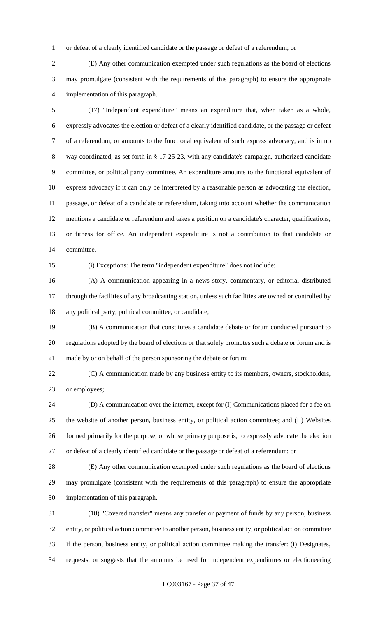or defeat of a clearly identified candidate or the passage or defeat of a referendum; or

 (E) Any other communication exempted under such regulations as the board of elections may promulgate (consistent with the requirements of this paragraph) to ensure the appropriate implementation of this paragraph.

 (17) "Independent expenditure" means an expenditure that, when taken as a whole, expressly advocates the election or defeat of a clearly identified candidate, or the passage or defeat of a referendum, or amounts to the functional equivalent of such express advocacy, and is in no way coordinated, as set forth in § 17-25-23, with any candidate's campaign, authorized candidate committee, or political party committee. An expenditure amounts to the functional equivalent of express advocacy if it can only be interpreted by a reasonable person as advocating the election, passage, or defeat of a candidate or referendum, taking into account whether the communication mentions a candidate or referendum and takes a position on a candidate's character, qualifications, or fitness for office. An independent expenditure is not a contribution to that candidate or committee.

(i) Exceptions: The term "independent expenditure" does not include:

 (A) A communication appearing in a news story, commentary, or editorial distributed through the facilities of any broadcasting station, unless such facilities are owned or controlled by any political party, political committee, or candidate;

 (B) A communication that constitutes a candidate debate or forum conducted pursuant to regulations adopted by the board of elections or that solely promotes such a debate or forum and is made by or on behalf of the person sponsoring the debate or forum;

 (C) A communication made by any business entity to its members, owners, stockholders, or employees;

 (D) A communication over the internet, except for (I) Communications placed for a fee on the website of another person, business entity, or political action committee; and (II) Websites formed primarily for the purpose, or whose primary purpose is, to expressly advocate the election or defeat of a clearly identified candidate or the passage or defeat of a referendum; or

 (E) Any other communication exempted under such regulations as the board of elections may promulgate (consistent with the requirements of this paragraph) to ensure the appropriate implementation of this paragraph.

 (18) "Covered transfer" means any transfer or payment of funds by any person, business entity, or political action committee to another person, business entity, or political action committee if the person, business entity, or political action committee making the transfer: (i) Designates, requests, or suggests that the amounts be used for independent expenditures or electioneering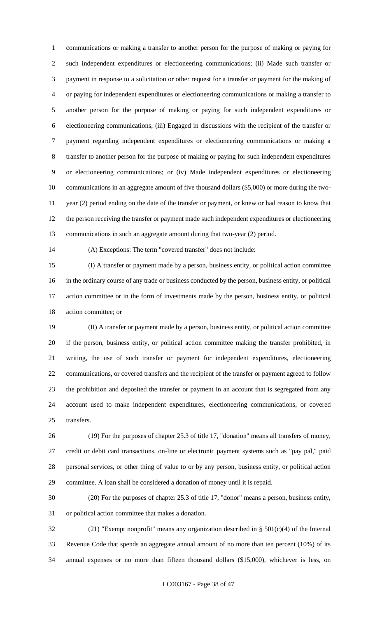communications or making a transfer to another person for the purpose of making or paying for such independent expenditures or electioneering communications; (ii) Made such transfer or payment in response to a solicitation or other request for a transfer or payment for the making of or paying for independent expenditures or electioneering communications or making a transfer to another person for the purpose of making or paying for such independent expenditures or electioneering communications; (iii) Engaged in discussions with the recipient of the transfer or payment regarding independent expenditures or electioneering communications or making a transfer to another person for the purpose of making or paying for such independent expenditures or electioneering communications; or (iv) Made independent expenditures or electioneering communications in an aggregate amount of five thousand dollars (\$5,000) or more during the two- year (2) period ending on the date of the transfer or payment, or knew or had reason to know that the person receiving the transfer or payment made such independent expenditures or electioneering communications in such an aggregate amount during that two-year (2) period.

(A) Exceptions: The term "covered transfer" does not include:

 (I) A transfer or payment made by a person, business entity, or political action committee in the ordinary course of any trade or business conducted by the person, business entity, or political action committee or in the form of investments made by the person, business entity, or political action committee; or

 (II) A transfer or payment made by a person, business entity, or political action committee if the person, business entity, or political action committee making the transfer prohibited, in writing, the use of such transfer or payment for independent expenditures, electioneering communications, or covered transfers and the recipient of the transfer or payment agreed to follow the prohibition and deposited the transfer or payment in an account that is segregated from any account used to make independent expenditures, electioneering communications, or covered transfers.

 (19) For the purposes of chapter 25.3 of title 17, "donation" means all transfers of money, credit or debit card transactions, on-line or electronic payment systems such as "pay pal," paid personal services, or other thing of value to or by any person, business entity, or political action committee. A loan shall be considered a donation of money until it is repaid.

 (20) For the purposes of chapter 25.3 of title 17, "donor" means a person, business entity, or political action committee that makes a donation.

 (21) "Exempt nonprofit" means any organization described in § 501(c)(4) of the Internal Revenue Code that spends an aggregate annual amount of no more than ten percent (10%) of its annual expenses or no more than fifteen thousand dollars (\$15,000), whichever is less, on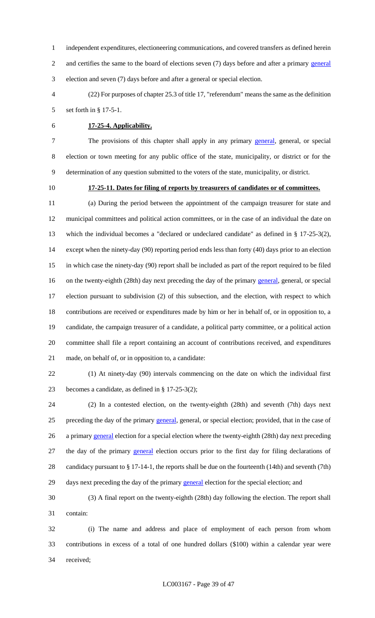independent expenditures, electioneering communications, and covered transfers as defined herein 2 and certifies the same to the board of elections seven (7) days before and after a primary general election and seven (7) days before and after a general or special election.

 (22) For purposes of chapter 25.3 of title 17, "referendum" means the same as the definition set forth in § 17-5-1.

# **17-25-4. Applicability.**

7 The provisions of this chapter shall apply in any primary general, general, or special election or town meeting for any public office of the state, municipality, or district or for the determination of any question submitted to the voters of the state, municipality, or district.

# **17-25-11. Dates for filing of reports by treasurers of candidates or of committees.**

 (a) During the period between the appointment of the campaign treasurer for state and municipal committees and political action committees, or in the case of an individual the date on which the individual becomes a "declared or undeclared candidate" as defined in § 17-25-3(2), except when the ninety-day (90) reporting period ends less than forty (40) days prior to an election in which case the ninety-day (90) report shall be included as part of the report required to be filed 16 on the twenty-eighth (28th) day next preceding the day of the primary general, general, or special election pursuant to subdivision (2) of this subsection, and the election, with respect to which contributions are received or expenditures made by him or her in behalf of, or in opposition to, a candidate, the campaign treasurer of a candidate, a political party committee, or a political action committee shall file a report containing an account of contributions received, and expenditures made, on behalf of, or in opposition to, a candidate:

 (1) At ninety-day (90) intervals commencing on the date on which the individual first becomes a candidate, as defined in § 17-25-3(2);

 (2) In a contested election, on the twenty-eighth (28th) and seventh (7th) days next 25 preceding the day of the primary general, general, or special election; provided, that in the case of 26 a primary general election for a special election where the twenty-eighth (28th) day next preceding 27 the day of the primary general election occurs prior to the first day for filing declarations of candidacy pursuant to § 17-14-1, the reports shall be due on the fourteenth (14th) and seventh (7th) 29 days next preceding the day of the primary general election for the special election; and

 (3) A final report on the twenty-eighth (28th) day following the election. The report shall contain:

 (i) The name and address and place of employment of each person from whom contributions in excess of a total of one hundred dollars (\$100) within a calendar year were received;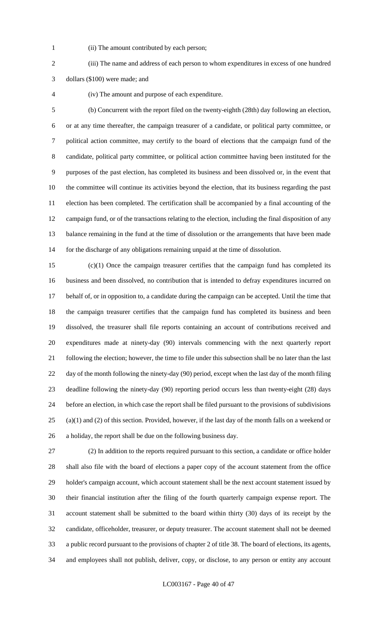- 
- (ii) The amount contributed by each person;

 (iii) The name and address of each person to whom expenditures in excess of one hundred dollars (\$100) were made; and

(iv) The amount and purpose of each expenditure.

 (b) Concurrent with the report filed on the twenty-eighth (28th) day following an election, or at any time thereafter, the campaign treasurer of a candidate, or political party committee, or political action committee, may certify to the board of elections that the campaign fund of the candidate, political party committee, or political action committee having been instituted for the purposes of the past election, has completed its business and been dissolved or, in the event that the committee will continue its activities beyond the election, that its business regarding the past election has been completed. The certification shall be accompanied by a final accounting of the campaign fund, or of the transactions relating to the election, including the final disposition of any balance remaining in the fund at the time of dissolution or the arrangements that have been made for the discharge of any obligations remaining unpaid at the time of dissolution.

 (c)(1) Once the campaign treasurer certifies that the campaign fund has completed its business and been dissolved, no contribution that is intended to defray expenditures incurred on behalf of, or in opposition to, a candidate during the campaign can be accepted. Until the time that the campaign treasurer certifies that the campaign fund has completed its business and been dissolved, the treasurer shall file reports containing an account of contributions received and expenditures made at ninety-day (90) intervals commencing with the next quarterly report following the election; however, the time to file under this subsection shall be no later than the last day of the month following the ninety-day (90) period, except when the last day of the month filing deadline following the ninety-day (90) reporting period occurs less than twenty-eight (28) days before an election, in which case the report shall be filed pursuant to the provisions of subdivisions (a)(1) and (2) of this section. Provided, however, if the last day of the month falls on a weekend or a holiday, the report shall be due on the following business day.

 (2) In addition to the reports required pursuant to this section, a candidate or office holder shall also file with the board of elections a paper copy of the account statement from the office holder's campaign account, which account statement shall be the next account statement issued by their financial institution after the filing of the fourth quarterly campaign expense report. The account statement shall be submitted to the board within thirty (30) days of its receipt by the candidate, officeholder, treasurer, or deputy treasurer. The account statement shall not be deemed a public record pursuant to the provisions of chapter 2 of title 38. The board of elections, its agents, and employees shall not publish, deliver, copy, or disclose, to any person or entity any account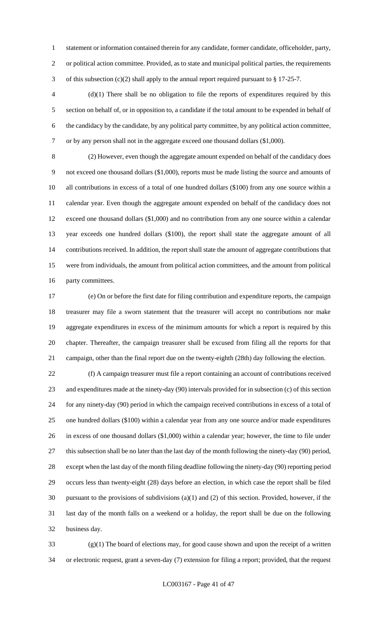statement or information contained therein for any candidate, former candidate, officeholder, party, or political action committee. Provided, as to state and municipal political parties, the requirements of this subsection (c)(2) shall apply to the annual report required pursuant to § 17-25-7.

 (d)(1) There shall be no obligation to file the reports of expenditures required by this section on behalf of, or in opposition to, a candidate if the total amount to be expended in behalf of the candidacy by the candidate, by any political party committee, by any political action committee, or by any person shall not in the aggregate exceed one thousand dollars (\$1,000).

 (2) However, even though the aggregate amount expended on behalf of the candidacy does not exceed one thousand dollars (\$1,000), reports must be made listing the source and amounts of all contributions in excess of a total of one hundred dollars (\$100) from any one source within a calendar year. Even though the aggregate amount expended on behalf of the candidacy does not exceed one thousand dollars (\$1,000) and no contribution from any one source within a calendar year exceeds one hundred dollars (\$100), the report shall state the aggregate amount of all contributions received. In addition, the report shall state the amount of aggregate contributions that were from individuals, the amount from political action committees, and the amount from political party committees.

 (e) On or before the first date for filing contribution and expenditure reports, the campaign treasurer may file a sworn statement that the treasurer will accept no contributions nor make aggregate expenditures in excess of the minimum amounts for which a report is required by this chapter. Thereafter, the campaign treasurer shall be excused from filing all the reports for that campaign, other than the final report due on the twenty-eighth (28th) day following the election.

 (f) A campaign treasurer must file a report containing an account of contributions received and expenditures made at the ninety-day (90) intervals provided for in subsection (c) of this section for any ninety-day (90) period in which the campaign received contributions in excess of a total of one hundred dollars (\$100) within a calendar year from any one source and/or made expenditures in excess of one thousand dollars (\$1,000) within a calendar year; however, the time to file under this subsection shall be no later than the last day of the month following the ninety-day (90) period, except when the last day of the month filing deadline following the ninety-day (90) reporting period occurs less than twenty-eight (28) days before an election, in which case the report shall be filed pursuant to the provisions of subdivisions (a)(1) and (2) of this section. Provided, however, if the last day of the month falls on a weekend or a holiday, the report shall be due on the following business day.

 (g)(1) The board of elections may, for good cause shown and upon the receipt of a written or electronic request, grant a seven-day (7) extension for filing a report; provided, that the request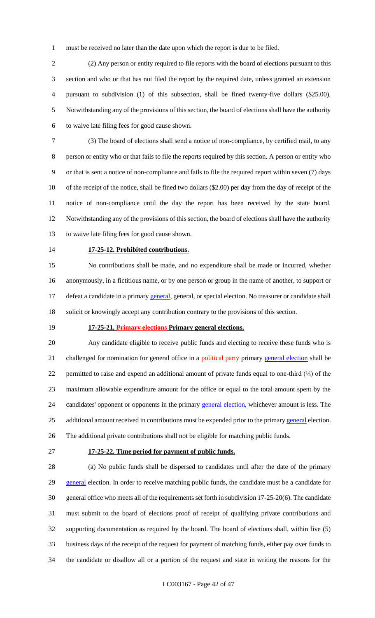must be received no later than the date upon which the report is due to be filed.

 (2) Any person or entity required to file reports with the board of elections pursuant to this section and who or that has not filed the report by the required date, unless granted an extension pursuant to subdivision (1) of this subsection, shall be fined twenty-five dollars (\$25.00). Notwithstanding any of the provisions of this section, the board of elections shall have the authority to waive late filing fees for good cause shown.

 (3) The board of elections shall send a notice of non-compliance, by certified mail, to any person or entity who or that fails to file the reports required by this section. A person or entity who or that is sent a notice of non-compliance and fails to file the required report within seven (7) days of the receipt of the notice, shall be fined two dollars (\$2.00) per day from the day of receipt of the notice of non-compliance until the day the report has been received by the state board. Notwithstanding any of the provisions of this section, the board of elections shall have the authority to waive late filing fees for good cause shown.

#### **17-25-12. Prohibited contributions.**

 No contributions shall be made, and no expenditure shall be made or incurred, whether anonymously, in a fictitious name, or by one person or group in the name of another, to support or 17 defeat a candidate in a primary general, general, or special election. No treasurer or candidate shall solicit or knowingly accept any contribution contrary to the provisions of this section.

#### **17-25-21. Primary elections Primary general elections.**

 Any candidate eligible to receive public funds and electing to receive these funds who is 21 challenged for nomination for general office in a political party primary general election shall be permitted to raise and expend an additional amount of private funds equal to one-third (⅓) of the maximum allowable expenditure amount for the office or equal to the total amount spent by the 24 candidates' opponent or opponents in the primary general election, whichever amount is less. The 25 additional amount received in contributions must be expended prior to the primary general election.

- The additional private contributions shall not be eligible for matching public funds.
- 

#### **17-25-22. Time period for payment of public funds.**

 (a) No public funds shall be dispersed to candidates until after the date of the primary 29 general election. In order to receive matching public funds, the candidate must be a candidate for general office who meets all of the requirements set forth in subdivision 17-25-20(6). The candidate must submit to the board of elections proof of receipt of qualifying private contributions and supporting documentation as required by the board. The board of elections shall, within five (5) business days of the receipt of the request for payment of matching funds, either pay over funds to the candidate or disallow all or a portion of the request and state in writing the reasons for the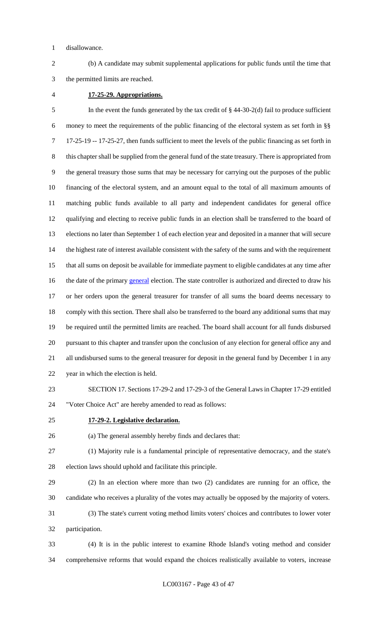disallowance.

 (b) A candidate may submit supplemental applications for public funds until the time that the permitted limits are reached.

#### **17-25-29. Appropriations.**

 In the event the funds generated by the tax credit of § 44-30-2(d) fail to produce sufficient money to meet the requirements of the public financing of the electoral system as set forth in §§ 17-25-19 -- 17-25-27, then funds sufficient to meet the levels of the public financing as set forth in this chapter shall be supplied from the general fund of the state treasury. There is appropriated from the general treasury those sums that may be necessary for carrying out the purposes of the public financing of the electoral system, and an amount equal to the total of all maximum amounts of matching public funds available to all party and independent candidates for general office qualifying and electing to receive public funds in an election shall be transferred to the board of elections no later than September 1 of each election year and deposited in a manner that will secure 14 the highest rate of interest available consistent with the safety of the sums and with the requirement that all sums on deposit be available for immediate payment to eligible candidates at any time after 16 the date of the primary general election. The state controller is authorized and directed to draw his or her orders upon the general treasurer for transfer of all sums the board deems necessary to comply with this section. There shall also be transferred to the board any additional sums that may be required until the permitted limits are reached. The board shall account for all funds disbursed pursuant to this chapter and transfer upon the conclusion of any election for general office any and all undisbursed sums to the general treasurer for deposit in the general fund by December 1 in any year in which the election is held.

- SECTION 17. Sections 17-29-2 and 17-29-3 of the General Laws in Chapter 17-29 entitled "Voter Choice Act" are hereby amended to read as follows:
- 

## **17-29-2. Legislative declaration.**

(a) The general assembly hereby finds and declares that:

 (1) Majority rule is a fundamental principle of representative democracy, and the state's election laws should uphold and facilitate this principle.

 (2) In an election where more than two (2) candidates are running for an office, the candidate who receives a plurality of the votes may actually be opposed by the majority of voters.

 (3) The state's current voting method limits voters' choices and contributes to lower voter participation.

 (4) It is in the public interest to examine Rhode Island's voting method and consider comprehensive reforms that would expand the choices realistically available to voters, increase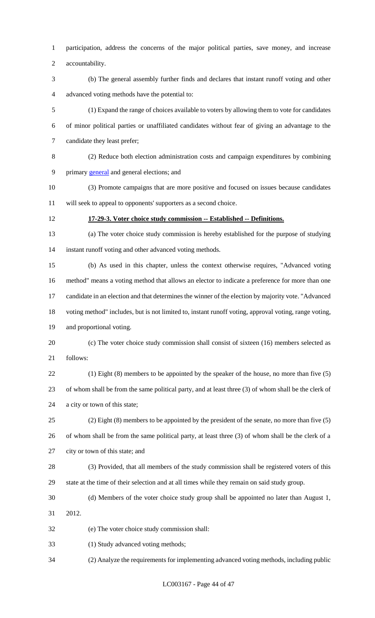participation, address the concerns of the major political parties, save money, and increase accountability.

 (b) The general assembly further finds and declares that instant runoff voting and other advanced voting methods have the potential to:

 (1) Expand the range of choices available to voters by allowing them to vote for candidates of minor political parties or unaffiliated candidates without fear of giving an advantage to the candidate they least prefer;

 (2) Reduce both election administration costs and campaign expenditures by combining primary general and general elections; and

 (3) Promote campaigns that are more positive and focused on issues because candidates will seek to appeal to opponents' supporters as a second choice.

# **17-29-3. Voter choice study commission -- Established -- Definitions.**

 (a) The voter choice study commission is hereby established for the purpose of studying instant runoff voting and other advanced voting methods.

 (b) As used in this chapter, unless the context otherwise requires, "Advanced voting method" means a voting method that allows an elector to indicate a preference for more than one candidate in an election and that determines the winner of the election by majority vote. "Advanced voting method" includes, but is not limited to, instant runoff voting, approval voting, range voting, and proportional voting.

 (c) The voter choice study commission shall consist of sixteen (16) members selected as follows:

 (1) Eight (8) members to be appointed by the speaker of the house, no more than five (5) of whom shall be from the same political party, and at least three (3) of whom shall be the clerk of a city or town of this state;

 (2) Eight (8) members to be appointed by the president of the senate, no more than five (5) of whom shall be from the same political party, at least three (3) of whom shall be the clerk of a city or town of this state; and

 (3) Provided, that all members of the study commission shall be registered voters of this state at the time of their selection and at all times while they remain on said study group.

 (d) Members of the voter choice study group shall be appointed no later than August 1, 2012.

(e) The voter choice study commission shall:

(1) Study advanced voting methods;

(2) Analyze the requirements for implementing advanced voting methods, including public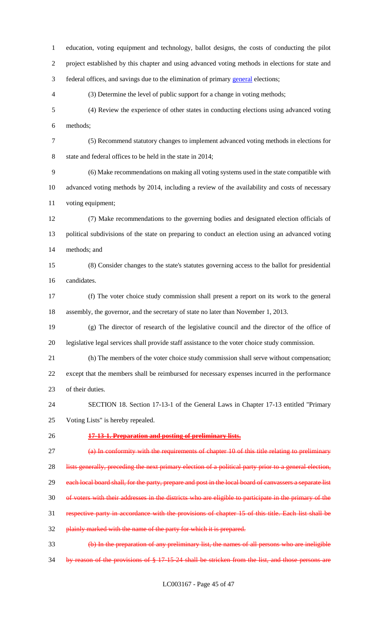education, voting equipment and technology, ballot designs, the costs of conducting the pilot project established by this chapter and using advanced voting methods in elections for state and federal offices, and savings due to the elimination of primary general elections; (3) Determine the level of public support for a change in voting methods; (4) Review the experience of other states in conducting elections using advanced voting methods; (5) Recommend statutory changes to implement advanced voting methods in elections for state and federal offices to be held in the state in 2014; (6) Make recommendations on making all voting systems used in the state compatible with advanced voting methods by 2014, including a review of the availability and costs of necessary voting equipment; (7) Make recommendations to the governing bodies and designated election officials of political subdivisions of the state on preparing to conduct an election using an advanced voting methods; and (8) Consider changes to the state's statutes governing access to the ballot for presidential candidates. (f) The voter choice study commission shall present a report on its work to the general assembly, the governor, and the secretary of state no later than November 1, 2013. (g) The director of research of the legislative council and the director of the office of legislative legal services shall provide staff assistance to the voter choice study commission. (h) The members of the voter choice study commission shall serve without compensation; except that the members shall be reimbursed for necessary expenses incurred in the performance of their duties. SECTION 18. Section 17-13-1 of the General Laws in Chapter 17-13 entitled "Primary Voting Lists" is hereby repealed. **17-13-1. Preparation and posting of preliminary lists.** 27 (a) In conformity with the requirements of chapter 10 of this title relating to preliminary 28 lists generally, preceding the next primary election of a political party prior to a general election, 29 each local board shall, for the party, prepare and post in the local board of canvassers a separate list of voters with their addresses in the districts who are eligible to participate in the primary of the respective party in accordance with the provisions of chapter 15 of this title. Each list shall be plainly marked with the name of the party for which it is prepared. (b) In the preparation of any preliminary list, the names of all persons who are ineligible by reason of the provisions of § 17-15-24 shall be stricken from the list, and those persons are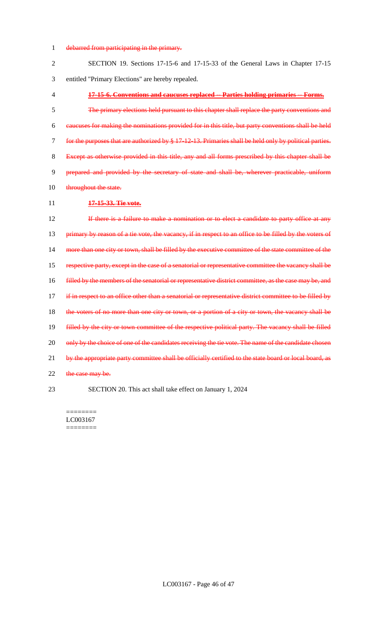# 1 debarred from participating in the primary.

| $\overline{2}$ | SECTION 19. Sections 17-15-6 and 17-15-33 of the General Laws in Chapter 17-15                             |
|----------------|------------------------------------------------------------------------------------------------------------|
| 3              | entitled "Primary Elections" are hereby repealed.                                                          |
| 4              | 17-15-6. Conventions and caucuses replaced -- Parties holding primaries -- Forms.                          |
| 5              | The primary elections held pursuant to this chapter shall replace the party conventions and                |
| 6              | eaucuses for making the nominations provided for in this title, but party conventions shall be held        |
| 7              | for the purposes that are authorized by $\S 17-12-13$ . Primaries shall be held only by political parties. |
| 8              | Except as otherwise provided in this title, any and all forms prescribed by this chapter shall be          |
| 9              | prepared and provided by the secretary of state and shall be, wherever practicable, uniform                |
| 10             | throughout the state.                                                                                      |
| 11             | 17-15-33. Tie vote.                                                                                        |
| 12             | If there is a failure to make a nomination or to elect a candidate to party office at any                  |
| 13             | primary by reason of a tie vote, the vacancy, if in respect to an office to be filled by the voters of     |
| 14             | more than one city or town, shall be filled by the executive committee of the state committee of the       |
| 15             | respective party, except in the case of a senatorial or representative committee the vacancy shall be      |
| 16             | filled by the members of the senatorial or representative district committee, as the case may be, and      |
| 17             | if in respect to an office other than a senatorial or representative district committee to be filled by    |
| 18             | the voters of no more than one city or town, or a portion of a city or town, the vacancy shall be          |
| 19             | filled by the city or town committee of the respective political party. The vacancy shall be filled        |
| 20             | only by the choice of one of the candidates receiving the tie vote. The name of the candidate chosen       |
| 21             | by the appropriate party committee shall be officially certified to the state board or local board, as     |
| 22             | the case may be.                                                                                           |
| 23             | SECTION 20. This act shall take effect on January 1, 2024                                                  |

======== LC003167  $=$